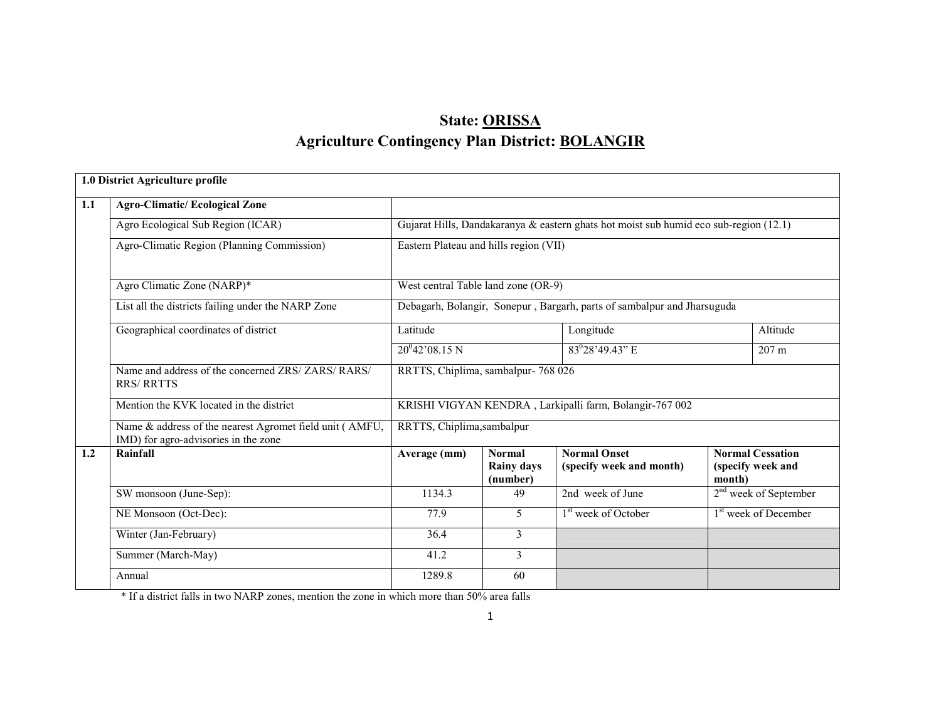# State: ORISSAAgriculture Contingency Plan District: <u>BOLANGIR</u>

|     | 1.0 District Agriculture profile                                                                |                                                                                       |                                                |                                                                         |        |                                              |  |
|-----|-------------------------------------------------------------------------------------------------|---------------------------------------------------------------------------------------|------------------------------------------------|-------------------------------------------------------------------------|--------|----------------------------------------------|--|
| 1.1 | <b>Agro-Climatic/Ecological Zone</b>                                                            |                                                                                       |                                                |                                                                         |        |                                              |  |
|     | Agro Ecological Sub Region (ICAR)                                                               | Gujarat Hills, Dandakaranya & eastern ghats hot moist sub humid eco sub-region (12.1) |                                                |                                                                         |        |                                              |  |
|     | Agro-Climatic Region (Planning Commission)                                                      |                                                                                       | Eastern Plateau and hills region (VII)         |                                                                         |        |                                              |  |
|     | Agro Climatic Zone (NARP)*                                                                      | West central Table land zone (OR-9)                                                   |                                                |                                                                         |        |                                              |  |
|     | List all the districts failing under the NARP Zone                                              |                                                                                       |                                                | Debagarh, Bolangir, Sonepur, Bargarh, parts of sambalpur and Jharsuguda |        |                                              |  |
|     | Geographical coordinates of district                                                            | Latitude                                                                              |                                                | Longitude                                                               |        | Altitude                                     |  |
|     |                                                                                                 | $20^{0}42'08.15 N$                                                                    |                                                | $83^{0}28'49.43"$ E                                                     |        | $207 \text{ m}$                              |  |
|     | Name and address of the concerned ZRS/ ZARS/ RARS/<br><b>RRS/ RRTTS</b>                         | RRTTS, Chiplima, sambalpur- 768 026                                                   |                                                |                                                                         |        |                                              |  |
|     | Mention the KVK located in the district                                                         |                                                                                       |                                                | KRISHI VIGYAN KENDRA, Larkipalli farm, Bolangir-767 002                 |        |                                              |  |
|     | Name & address of the nearest Agromet field unit (AMFU,<br>IMD) for agro-advisories in the zone | RRTTS, Chiplima, sambalpur                                                            |                                                |                                                                         |        |                                              |  |
| 1.2 | Rainfall                                                                                        | Average (mm)                                                                          | <b>Normal</b><br><b>Rainy days</b><br>(number) | <b>Normal Onset</b><br>(specify week and month)                         | month) | <b>Normal Cessation</b><br>(specify week and |  |
|     | SW monsoon (June-Sep):                                                                          | 1134.3                                                                                | 49                                             | 2nd week of June                                                        |        | $2nd$ week of September                      |  |
|     | NE Monsoon (Oct-Dec):                                                                           | 77.9                                                                                  | 5                                              | 1 <sup>st</sup> week of October                                         |        | 1 <sup>st</sup> week of December             |  |
|     | Winter (Jan-February)                                                                           | 36.4                                                                                  | 3                                              |                                                                         |        |                                              |  |
|     | Summer (March-May)                                                                              | 41.2                                                                                  | 3                                              |                                                                         |        |                                              |  |
|     | Annual                                                                                          | 1289.8                                                                                | 60                                             |                                                                         |        |                                              |  |

\* If a district falls in two NARP zones, mention the zone in which more than 50% area falls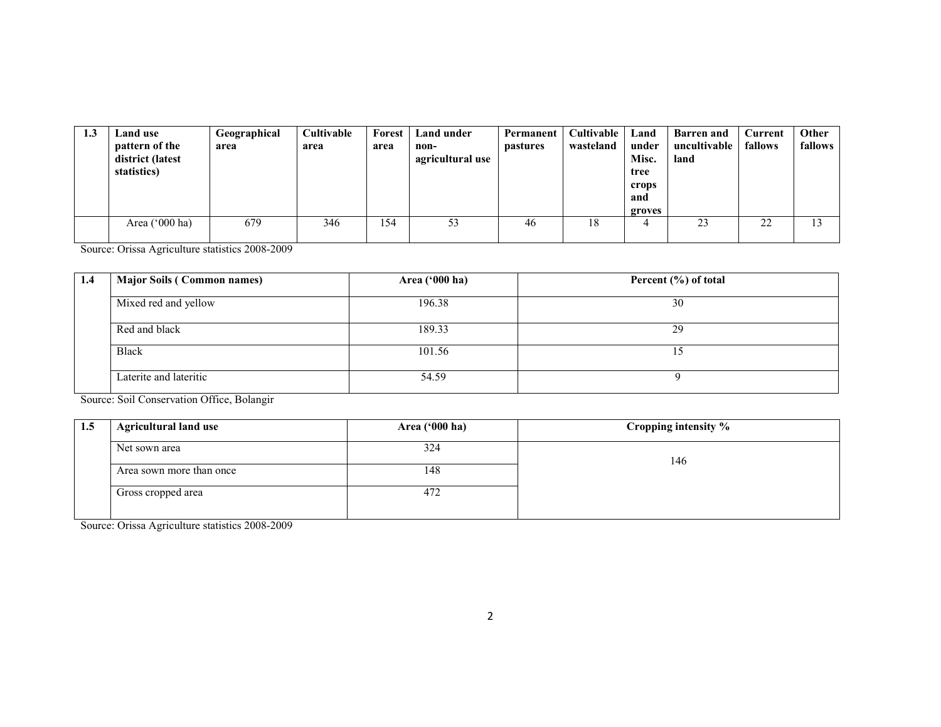| 1.3 | Land use<br>pattern of the<br>district (latest<br>statistics) | Geographical<br>area | <b>Cultivable</b><br>area | Forest<br>area | <b>Land under</b><br>non-<br>agricultural use | Permanent<br><i>pastures</i> | Cultivable<br>wasteland | Land<br>under<br>Misc.<br>tree<br>crops<br>and<br>groves | <b>Barren</b> and<br>uncultivable<br>land | Current<br>fallows | Other<br>fallows |
|-----|---------------------------------------------------------------|----------------------|---------------------------|----------------|-----------------------------------------------|------------------------------|-------------------------|----------------------------------------------------------|-------------------------------------------|--------------------|------------------|
|     | Area $('000 ha)$                                              | 679                  | 346                       | 154            | 53                                            | 46                           | 18                      |                                                          | 23                                        | 22                 | 13               |

Source: Orissa Agriculture statistics 2008-2009

| 1.4 | <b>Major Soils (Common names)</b> | Area ('000 ha) | Percent (%) of total |
|-----|-----------------------------------|----------------|----------------------|
|     |                                   |                |                      |
|     | Mixed red and yellow              | 196.38         | 30                   |
|     | Red and black                     | 189.33         | 29                   |
|     | <b>Black</b>                      | 101.56         |                      |
|     | Laterite and lateritic            | 54.59          |                      |

Source: Soil Conservation Office, Bolangir

| 1.5 | <b>Agricultural land use</b> | Area ('000 ha) | Cropping intensity % |
|-----|------------------------------|----------------|----------------------|
|     | Net sown area                | 324            | 146                  |
|     | Area sown more than once     | 148            |                      |
|     | Gross cropped area           | 472            |                      |

Source: Orissa Agriculture statistics 2008-2009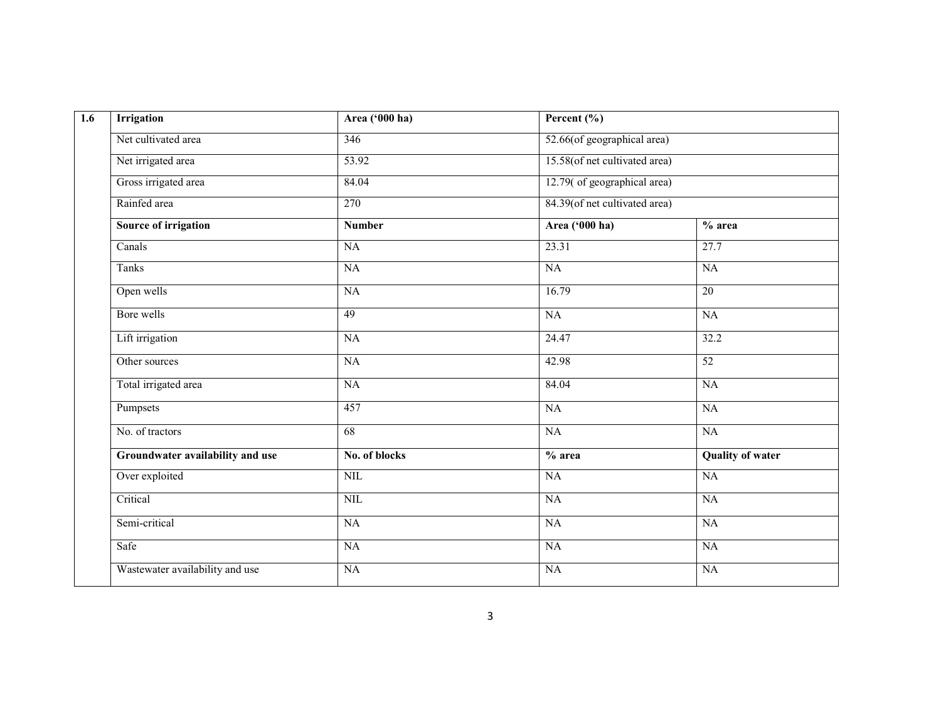| $\overline{1.6}$ | <b>Irrigation</b>                | Area ('000 ha)  | Percent $(\% )$               |                         |
|------------------|----------------------------------|-----------------|-------------------------------|-------------------------|
|                  | Net cultivated area              | 346             | 52.66(of geographical area)   |                         |
|                  | Net irrigated area               | 53.92           | 15.58(of net cultivated area) |                         |
|                  | Gross irrigated area             | 84.04           | 12.79( of geographical area)  |                         |
|                  | Rainfed area                     | 270             | 84.39(of net cultivated area) |                         |
|                  | <b>Source of irrigation</b>      | <b>Number</b>   | Area ('000 ha)                | $%$ area                |
|                  | Canals                           | $\overline{NA}$ | 23.31                         | 27.7                    |
|                  | Tanks                            | $\overline{NA}$ | NA                            | $\overline{NA}$         |
|                  | Open wells                       | NA              | 16.79                         | 20                      |
|                  | Bore wells                       | 49              | NA                            | $\overline{NA}$         |
|                  | Lift irrigation                  | $\overline{NA}$ | 24.47                         | 32.2                    |
|                  | Other sources                    | $\overline{NA}$ | 42.98                         | 52                      |
|                  | Total irrigated area             | NA              | 84.04                         | NA                      |
|                  | Pumpsets                         | 457             | NA                            | $\overline{NA}$         |
|                  | No. of tractors                  | 68              | NA                            | NA                      |
|                  | Groundwater availability and use | No. of blocks   | % area                        | <b>Quality of water</b> |
|                  | Over exploited                   | NIL             | NA                            | NA                      |
|                  | Critical                         | NIL             | NA                            | $\overline{NA}$         |
|                  | Semi-critical                    | NA              | NA                            | <b>NA</b>               |
|                  | Safe                             | NA              | NA                            | NA                      |
|                  | Wastewater availability and use  | $\overline{NA}$ | NA                            | <b>NA</b>               |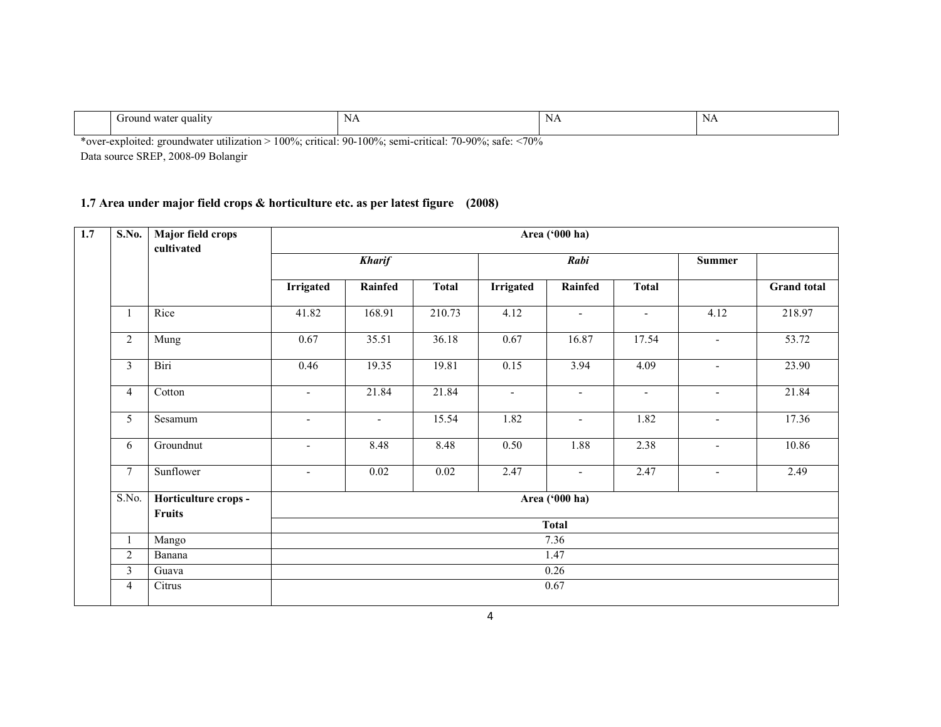| дианг<br>. water<br>əuna<br>UГ | N<br><b>IVE</b> | N<br>$\mathbf{v}$ | N/<br>11T<br>$\sim$ |
|--------------------------------|-----------------|-------------------|---------------------|
|                                |                 |                   |                     |

\*over-exploited: groundwater utilization > 100%; critical: 90-100%; semi-critical: 70-90%; safe: <70% Data source SREP, 2008-09 Bolangir

## 1.7 Area under major field crops & horticulture etc. as per latest figure (2008)

| <b>S.No.</b>   | Major field crops<br>cultivated       |                          |               |              |                  | Area ('000 ha)           |                |        |                    |
|----------------|---------------------------------------|--------------------------|---------------|--------------|------------------|--------------------------|----------------|--------|--------------------|
|                |                                       |                          | <b>Kharif</b> |              |                  | Rabi                     |                |        |                    |
|                |                                       | <b>Irrigated</b>         | Rainfed       | <b>Total</b> | <b>Irrigated</b> | Rainfed                  | <b>Total</b>   |        | <b>Grand</b> total |
| 1              | Rice                                  | 41.82                    | 168.91        | 210.73       | 4.12             | $\overline{\phantom{a}}$ | $\sim$         | 4.12   | 218.97             |
| $\overline{2}$ | Mung                                  | 0.67                     | 35.51         | 36.18        | 0.67             | 16.87                    | 17.54          | $\sim$ | 53.72              |
| $\overline{3}$ | Biri                                  | 0.46                     | 19.35         | 19.81        | 0.15             | 3.94                     | 4.09           | $\sim$ | 23.90              |
| $\overline{4}$ | Cotton                                | $\overline{a}$           | 21.84         | 21.84        | $\blacksquare$   | $\blacksquare$           | $\blacksquare$ | $\sim$ | 21.84              |
| 5              | Sesamum                               | $\overline{\phantom{a}}$ | $\sim$        | 15.54        | 1.82             | $\blacksquare$           | 1.82           | $\sim$ | 17.36              |
| 6              | Groundnut                             | $\blacksquare$           | 8.48          | 8.48         | 0.50             | 1.88                     | 2.38           | $\sim$ | 10.86              |
| $\overline{7}$ | Sunflower                             | $\overline{a}$           | 0.02          | 0.02         | 2.47             | $\sim$                   | 2.47           | $\sim$ | 2.49               |
| S.No.          | Horticulture crops -<br><b>Fruits</b> |                          |               |              |                  | Area ('000 ha)           |                |        |                    |
|                |                                       |                          |               |              |                  | <b>Total</b>             |                |        |                    |
| $\mathbf{1}$   | Mango                                 |                          |               |              |                  | 7.36                     |                |        |                    |
| $\overline{2}$ | Banana                                |                          |               |              |                  | 1.47                     |                |        |                    |
| $\overline{3}$ | Guava                                 |                          |               |              |                  | 0.26                     |                |        |                    |
| $\overline{4}$ | Citrus                                |                          |               |              |                  | 0.67                     |                |        |                    |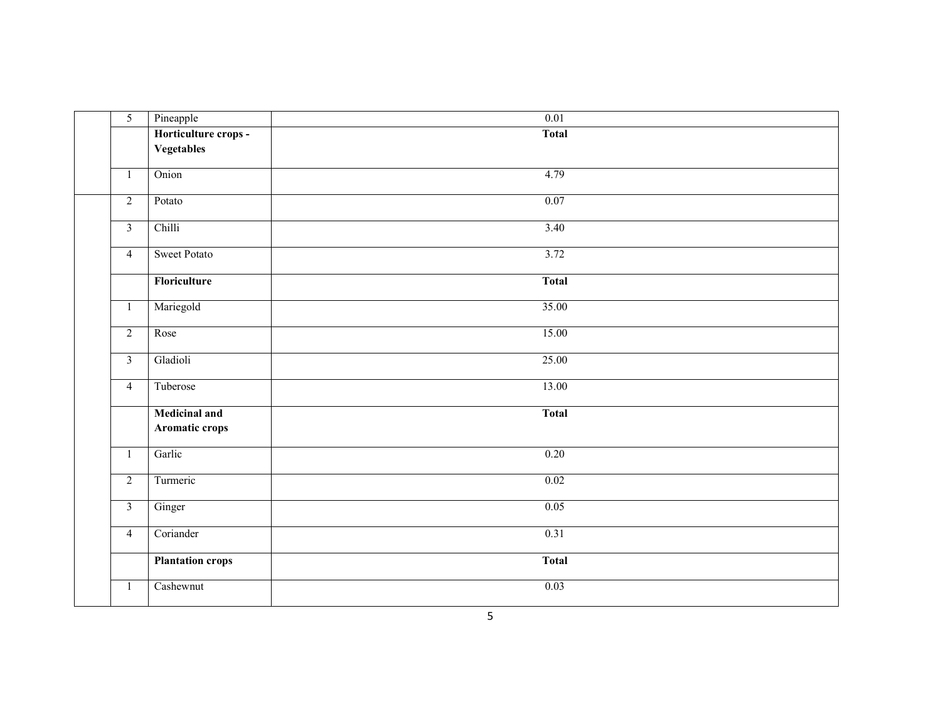| $\overline{5}$          | Pineapple                              | $\overline{0.01}$ |
|-------------------------|----------------------------------------|-------------------|
|                         | Horticulture crops -                   | <b>Total</b>      |
|                         | <b>Vegetables</b>                      |                   |
| $\mathbf{1}$            | Onion                                  | 4.79              |
| $\overline{2}$          | Potato                                 | 0.07              |
| $\overline{3}$          | Chilli                                 | 3.40              |
| $\overline{4}$          | <b>Sweet Potato</b>                    | 3.72              |
|                         | Floriculture                           | <b>Total</b>      |
| $\mathbf{1}$            | Mariegold                              | 35.00             |
| $\overline{2}$          | Rose                                   | 15.00             |
| $\overline{\mathbf{3}}$ | Gladioli                               | 25.00             |
| $\overline{4}$          | Tuberose                               | 13.00             |
|                         | <b>Medicinal and</b><br>Aromatic crops | <b>Total</b>      |
| $\mathbf{1}$            | Garlic                                 | 0.20              |
| $\overline{2}$          | Turmeric                               | 0.02              |
| $\overline{\mathbf{3}}$ | Ginger                                 | 0.05              |
| $\overline{4}$          | Coriander                              | 0.31              |
|                         | <b>Plantation crops</b>                | <b>Total</b>      |
| $\mathbf{1}$            | Cashewnut                              | 0.03              |
|                         |                                        |                   |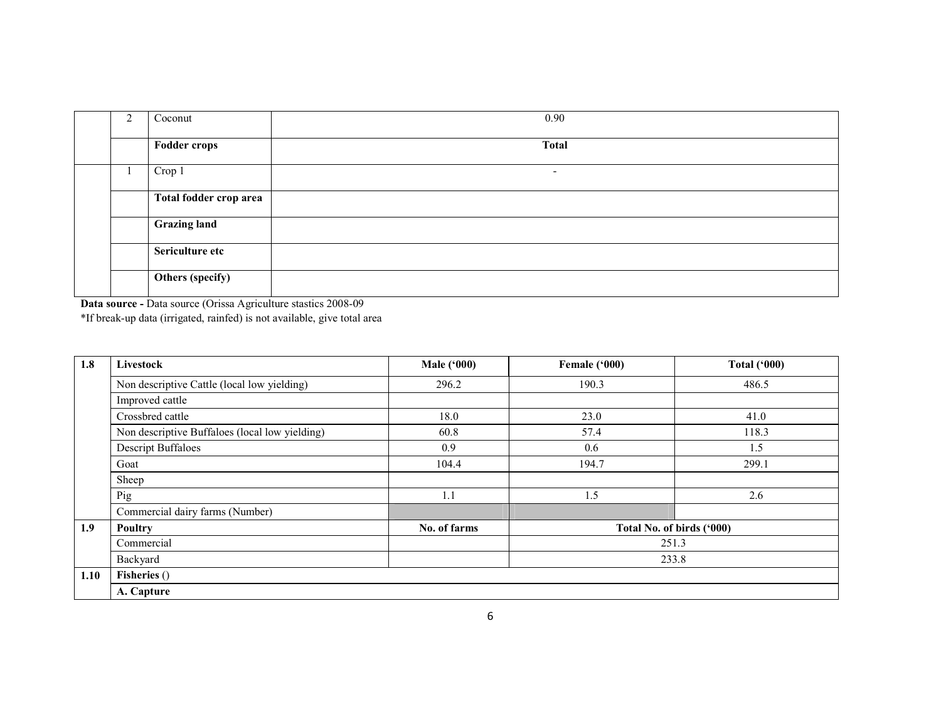| ∠ | Coconut                | 0.90                     |
|---|------------------------|--------------------------|
|   | <b>Fodder crops</b>    | <b>Total</b>             |
|   | Crop 1                 | $\overline{\phantom{a}}$ |
|   | Total fodder crop area |                          |
|   | <b>Grazing land</b>    |                          |
|   | Sericulture etc        |                          |
|   | Others (specify)       |                          |

Data source - Data source (Orissa Agriculture stastics 2008-09 \*If break-up data (irrigated, rainfed) is not available, give total area

| 1.8  | Livestock                                      | <b>Male ('000)</b> | Female ('000)             | <b>Total ('000)</b> |  |  |
|------|------------------------------------------------|--------------------|---------------------------|---------------------|--|--|
|      | Non descriptive Cattle (local low yielding)    | 296.2              | 190.3                     | 486.5               |  |  |
|      | Improved cattle                                |                    |                           |                     |  |  |
|      | Crossbred cattle                               | 18.0               | 23.0                      | 41.0                |  |  |
|      | Non descriptive Buffaloes (local low yielding) | 60.8               | 57.4                      | 118.3               |  |  |
|      | <b>Descript Buffaloes</b>                      | 0.9                | 0.6                       | 1.5                 |  |  |
|      | Goat                                           | 104.4              | 194.7                     | 299.1               |  |  |
|      | Sheep                                          |                    |                           |                     |  |  |
|      | Pig                                            | 1.1                | 1.5                       | 2.6                 |  |  |
|      | Commercial dairy farms (Number)                |                    |                           |                     |  |  |
| 1.9  | <b>Poultry</b>                                 | No. of farms       | Total No. of birds ('000) |                     |  |  |
|      | Commercial                                     |                    | 251.3                     |                     |  |  |
|      | Backyard<br>233.8                              |                    |                           |                     |  |  |
| 1.10 | Fisheries ()                                   |                    |                           |                     |  |  |
|      | A. Capture                                     |                    |                           |                     |  |  |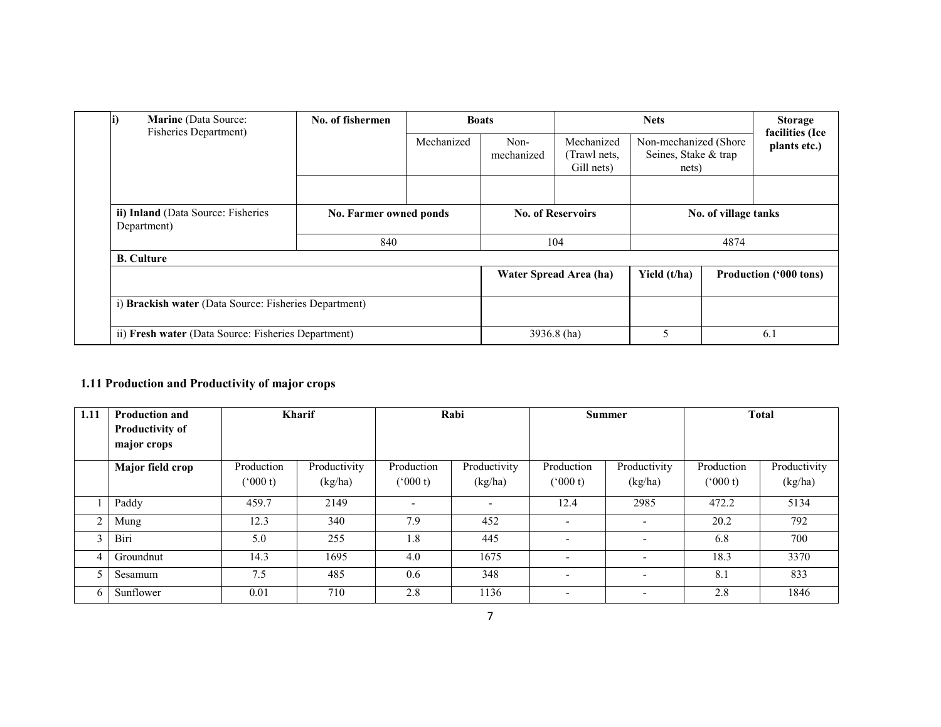| <b>Marine</b> (Data Source:<br><b>Fisheries Department)</b> | No. of fishermen       |            | <b>Boats</b>       |                                          | <b>Nets</b><br><b>Storage</b><br>facilities (Ice       |                      |                        |
|-------------------------------------------------------------|------------------------|------------|--------------------|------------------------------------------|--------------------------------------------------------|----------------------|------------------------|
|                                                             |                        | Mechanized | Non-<br>mechanized | Mechanized<br>(Trawl nets,<br>Gill nets) | Non-mechanized (Shore<br>Seines, Stake & trap<br>nets) |                      | plants etc.)           |
|                                                             |                        |            |                    |                                          |                                                        |                      |                        |
| ii) Inland (Data Source: Fisheries<br>Department)           | No. Farmer owned ponds |            |                    | <b>No. of Reservoirs</b>                 |                                                        | No. of village tanks |                        |
|                                                             | 840                    |            | 104                |                                          | 4874                                                   |                      |                        |
| <b>B.</b> Culture                                           |                        |            |                    |                                          |                                                        |                      |                        |
|                                                             |                        |            |                    | Water Spread Area (ha)                   | Yield (t/ha)                                           |                      | Production ('000 tons) |
| i) Brackish water (Data Source: Fisheries Department)       |                        |            |                    |                                          |                                                        |                      |                        |
| ii) Fresh water (Data Source: Fisheries Department)         |                        |            |                    | 3936.8 (ha)                              | 5                                                      |                      | 6.1                    |

### 1.11 Production and Productivity of major crops

| 1.11           | <b>Production and</b><br>Productivity of<br>major crops | <b>Kharif</b>         |                         | Rabi                       |                          | Summer                     |                          | <b>Total</b>          |                         |
|----------------|---------------------------------------------------------|-----------------------|-------------------------|----------------------------|--------------------------|----------------------------|--------------------------|-----------------------|-------------------------|
|                | Major field crop                                        | Production<br>(000 t) | Productivity<br>(kg/ha) | Production<br>$(^{6}000t)$ | Productivity<br>(kg/ha)  | Production<br>$(^{o}000t)$ | Productivity<br>(kg/ha)  | Production<br>(000 t) | Productivity<br>(kg/ha) |
|                | Paddy                                                   | 459.7                 | 2149                    | $\overline{\phantom{0}}$   | $\overline{\phantom{0}}$ | 12.4                       | 2985                     | 472.2                 | 5134                    |
| $\overline{2}$ | Mung                                                    | 12.3                  | 340                     | 7.9                        | 452                      | $\overline{\phantom{a}}$   | $\overline{\phantom{a}}$ | 20.2                  | 792                     |
| 3              | Biri                                                    | 5.0                   | 255                     | 1.8                        | 445                      | $\overline{\phantom{a}}$   | $\overline{\phantom{a}}$ | 6.8                   | 700                     |
| $\overline{4}$ | Groundnut                                               | 14.3                  | 1695                    | 4.0                        | 1675                     | $\overline{\phantom{0}}$   | $\overline{\phantom{a}}$ | 18.3                  | 3370                    |
|                | Sesamum                                                 | 7.5                   | 485                     | 0.6                        | 348                      | $\overline{\phantom{a}}$   | ٠                        | 8.1                   | 833                     |
| 6              | Sunflower                                               | 0.01                  | 710                     | 2.8                        | 1136                     | $\overline{\phantom{0}}$   | $\overline{\phantom{0}}$ | 2.8                   | 1846                    |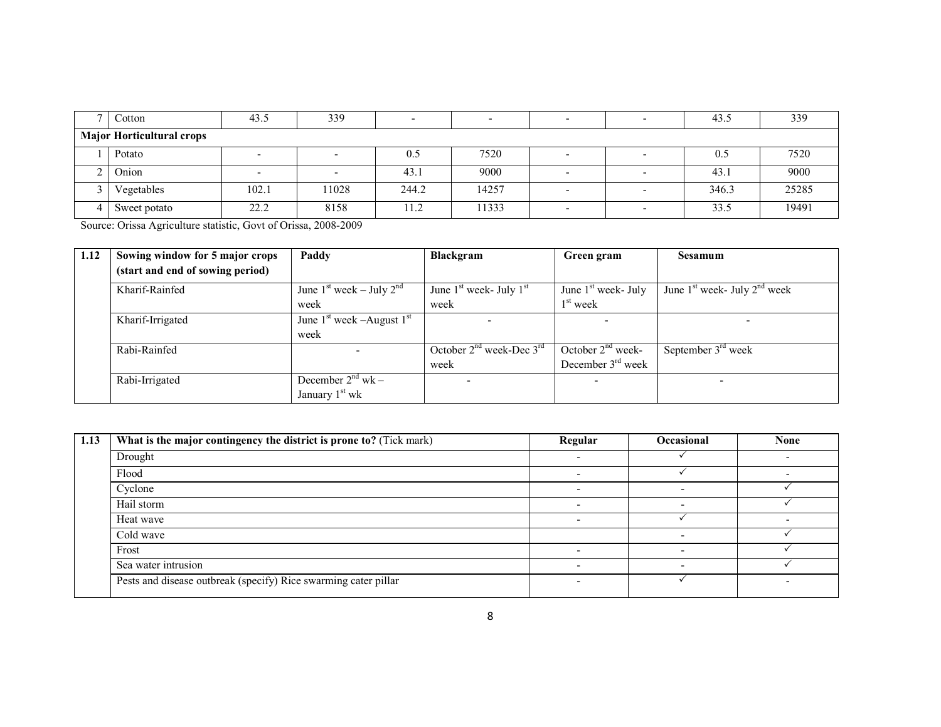| $\overline{ }$ | $\dot{\circ}$ cotton             | 43.5  | 339   | $\overline{\phantom{0}}$ |       | $\blacksquare$           | 43.5  | 339   |
|----------------|----------------------------------|-------|-------|--------------------------|-------|--------------------------|-------|-------|
|                | <b>Major Horticultural crops</b> |       |       |                          |       |                          |       |       |
|                | Potato                           |       |       | 0.5                      | 7520  |                          | 0.5   | 7520  |
|                | Onion                            |       |       | 43.1                     | 9000  | -                        | 43.1  | 9000  |
|                | Vegetables                       | 102.1 | 11028 | 244.2                    | 14257 | $\blacksquare$           | 346.3 | 25285 |
|                | Sweet potato                     | 22.2  | 8158  | 11.2                     | 11333 | $\overline{\phantom{a}}$ | 33.5  | 19491 |

Source: Orissa Agriculture statistic, Govt of Orissa, 2008-2009

| 1.12 | Sowing window for 5 major crops  | Paddy                         | <b>Blackgram</b>                   | Green gram            | <b>Sesamum</b>                   |
|------|----------------------------------|-------------------------------|------------------------------------|-----------------------|----------------------------------|
|      | (start and end of sowing period) |                               |                                    |                       |                                  |
|      | Kharif-Rainfed                   | June $1st$ week – July $2nd$  | June $1st$ week- July $1st$        | June $1st$ week- July | June $1st$ week- July $2nd$ week |
|      |                                  | week                          | week                               | $1st$ week            |                                  |
|      | Kharif-Irrigated                 | June $1st$ week -August $1st$ |                                    |                       |                                  |
|      |                                  | week                          |                                    |                       |                                  |
|      | Rabi-Rainfed                     |                               | October $2^{nd}$ week-Dec $3^{rd}$ | October $2nd$ week-   | September $3rd$ week             |
|      |                                  |                               | week                               | December $3rd$ week   |                                  |
|      | Rabi-Irrigated                   | December $2^{nd}$ wk –        |                                    |                       | $\overline{\phantom{0}}$         |
|      |                                  | January 1 <sup>st</sup> wk    |                                    |                       |                                  |

| 1.13 | What is the major contingency the district is prone to? (Tick mark) | Regular | <b>Occasional</b> | <b>None</b> |
|------|---------------------------------------------------------------------|---------|-------------------|-------------|
|      | Drought                                                             |         |                   |             |
|      | Flood                                                               |         |                   |             |
|      | Cyclone                                                             |         |                   |             |
|      | Hail storm                                                          |         |                   |             |
|      | Heat wave                                                           |         |                   |             |
|      | Cold wave                                                           |         |                   |             |
|      | Frost                                                               |         |                   |             |
|      | Sea water intrusion                                                 |         |                   |             |
|      | Pests and disease outbreak (specify) Rice swarming cater pillar     |         |                   |             |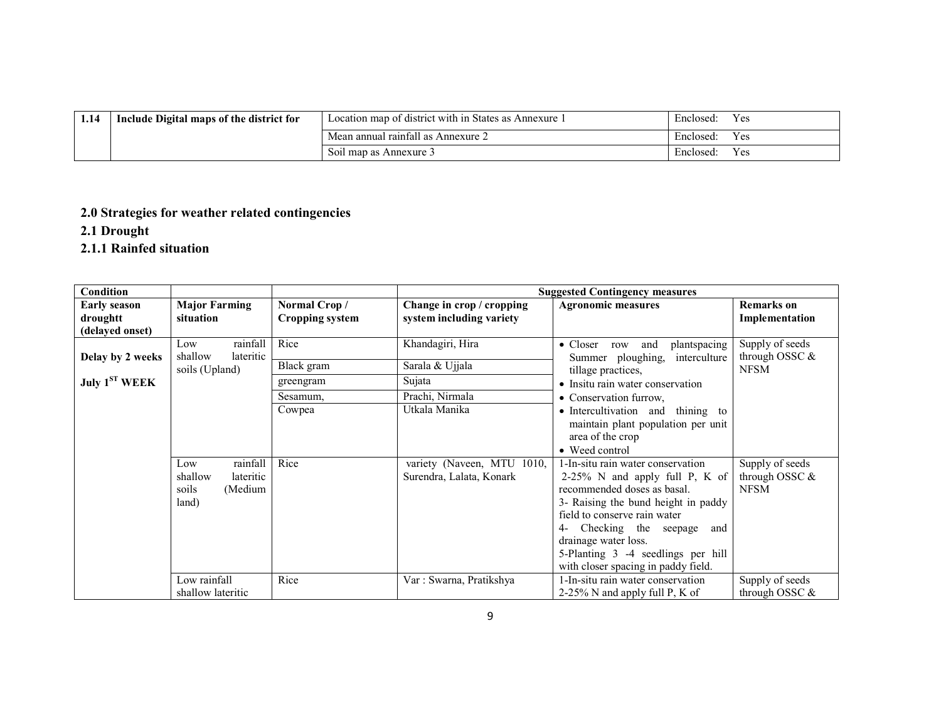| 1.14 | Include Digital maps of the district for | Location map of district with in States as Annexure 1 | Enclosed:<br>Y es |
|------|------------------------------------------|-------------------------------------------------------|-------------------|
|      |                                          | Mean annual rainfall as Annexure 2                    | Enclosed:<br>Y es |
|      |                                          | Soil map as Annexure 3                                | Enclosed:<br>Y es |

## 2.0 Strategies for weather related contingencies

2.1 Drought

## 2.1.1 Rainfed situation

| <b>Condition</b>                    |                                                                      |                                        |                                                        | <b>Suggested Contingency measures</b>                                                                                                                                                                                                                                                                               |                                                     |
|-------------------------------------|----------------------------------------------------------------------|----------------------------------------|--------------------------------------------------------|---------------------------------------------------------------------------------------------------------------------------------------------------------------------------------------------------------------------------------------------------------------------------------------------------------------------|-----------------------------------------------------|
| <b>Early season</b><br>droughtt     | <b>Major Farming</b><br>situation                                    | Normal Crop/<br><b>Cropping system</b> | Change in crop / cropping<br>system including variety  | <b>Agronomic measures</b>                                                                                                                                                                                                                                                                                           | <b>Remarks</b> on<br>Implementation                 |
| (delayed onset)<br>Delay by 2 weeks | rainfall<br>Low<br>lateritic<br>shallow                              | Rice                                   | Khandagiri, Hira                                       | plantspacing<br>$\bullet$ Closer<br>row and<br>Summer ploughing,<br>interculture                                                                                                                                                                                                                                    | Supply of seeds<br>through OSSC &                   |
| July $1ST WEEK$                     | soils (Upland)                                                       | Black gram<br>greengram                | Sarala & Ujjala<br>Sujata                              | tillage practices,<br>• Insitu rain water conservation                                                                                                                                                                                                                                                              | <b>NFSM</b>                                         |
|                                     |                                                                      | Sesamum,<br>Cowpea                     | Prachi, Nirmala<br>Utkala Manika                       | • Conservation furrow.<br>• Intercultivation and thining to<br>maintain plant population per unit<br>area of the crop<br>• Weed control                                                                                                                                                                             |                                                     |
|                                     | rainfall<br>Low<br>shallow<br>lateritic<br>soils<br>(Medium<br>land) | Rice                                   | variety (Naveen, MTU 1010,<br>Surendra, Lalata, Konark | 1-In-situ rain water conservation<br>$2-25\%$ N and apply full P, K of<br>recommended doses as basal.<br>3- Raising the bund height in paddy<br>field to conserve rain water<br>4- Checking the seepage<br>and<br>drainage water loss.<br>5-Planting 3 -4 seedlings per hill<br>with closer spacing in paddy field. | Supply of seeds<br>through OSSC $\&$<br><b>NFSM</b> |
|                                     | Low rainfall<br>shallow lateritic                                    | Rice                                   | Var: Swarna, Pratikshya                                | 1-In-situ rain water conservation<br>2-25% N and apply full P, K of                                                                                                                                                                                                                                                 | Supply of seeds<br>through OSSC $&$                 |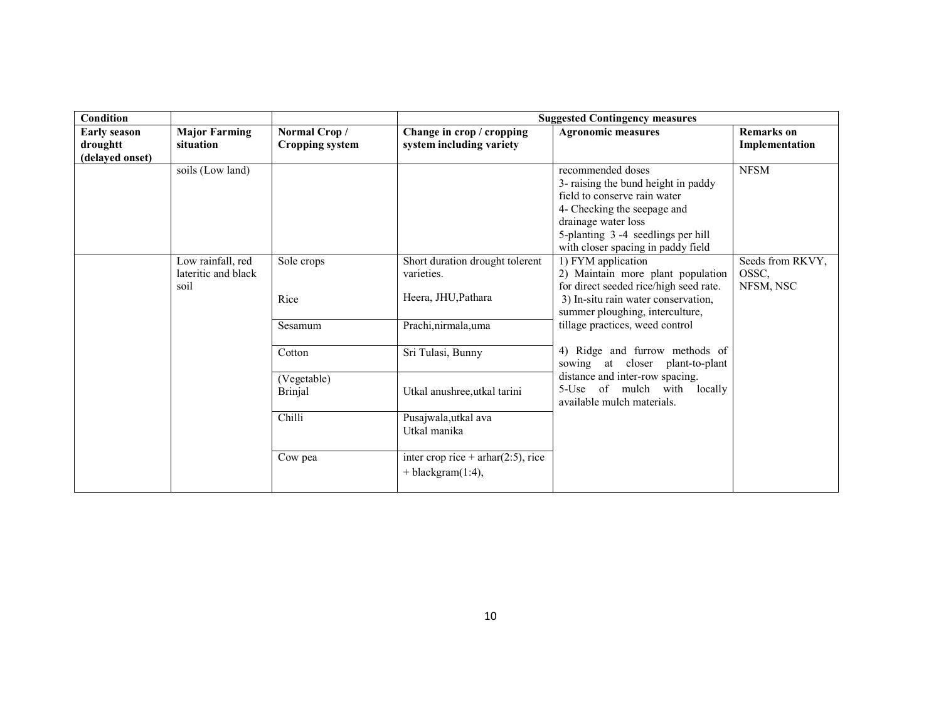| Condition                                          |                                                  |                                        |                                                                      | <b>Suggested Contingency measures</b>                                                                                                                                                                                     |                                        |
|----------------------------------------------------|--------------------------------------------------|----------------------------------------|----------------------------------------------------------------------|---------------------------------------------------------------------------------------------------------------------------------------------------------------------------------------------------------------------------|----------------------------------------|
| <b>Early season</b><br>droughtt<br>(delayed onset) | <b>Major Farming</b><br>situation                | Normal Crop/<br><b>Cropping system</b> | Change in crop / cropping<br>system including variety                | <b>Agronomic measures</b>                                                                                                                                                                                                 | <b>Remarks</b> on<br>Implementation    |
|                                                    | soils (Low land)                                 |                                        |                                                                      | recommended doses<br>3- raising the bund height in paddy<br>field to conserve rain water<br>4- Checking the seepage and<br>drainage water loss<br>5-planting 3-4 seedlings per hill<br>with closer spacing in paddy field | <b>NFSM</b>                            |
|                                                    | Low rainfall, red<br>lateritic and black<br>soil | Sole crops<br>Rice                     | Short duration drought tolerent<br>varieties.<br>Heera, JHU, Pathara | 1) FYM application<br>2) Maintain more plant population<br>for direct seeded rice/high seed rate.<br>3) In-situ rain water conservation,<br>summer ploughing, interculture,                                               | Seeds from RKVY,<br>OSSC,<br>NFSM, NSC |
|                                                    |                                                  | Sesamum                                | Prachi, nirmala, uma                                                 | tillage practices, weed control                                                                                                                                                                                           |                                        |
|                                                    |                                                  | Cotton                                 | Sri Tulasi, Bunny                                                    | 4) Ridge and furrow methods of<br>sowing at closer plant-to-plant                                                                                                                                                         |                                        |
|                                                    |                                                  | (Vegetable)<br><b>Brinjal</b>          | Utkal anushree, utkal tarini                                         | distance and inter-row spacing.<br>5-Use of mulch with locally<br>available mulch materials.                                                                                                                              |                                        |
|                                                    |                                                  | Chilli                                 | Pusajwala, utkal ava<br>Utkal manika                                 |                                                                                                                                                                                                                           |                                        |
|                                                    |                                                  | Cow pea                                | inter crop rice + $arbar(2:5)$ , rice<br>$+$ blackgram $(1:4)$ ,     |                                                                                                                                                                                                                           |                                        |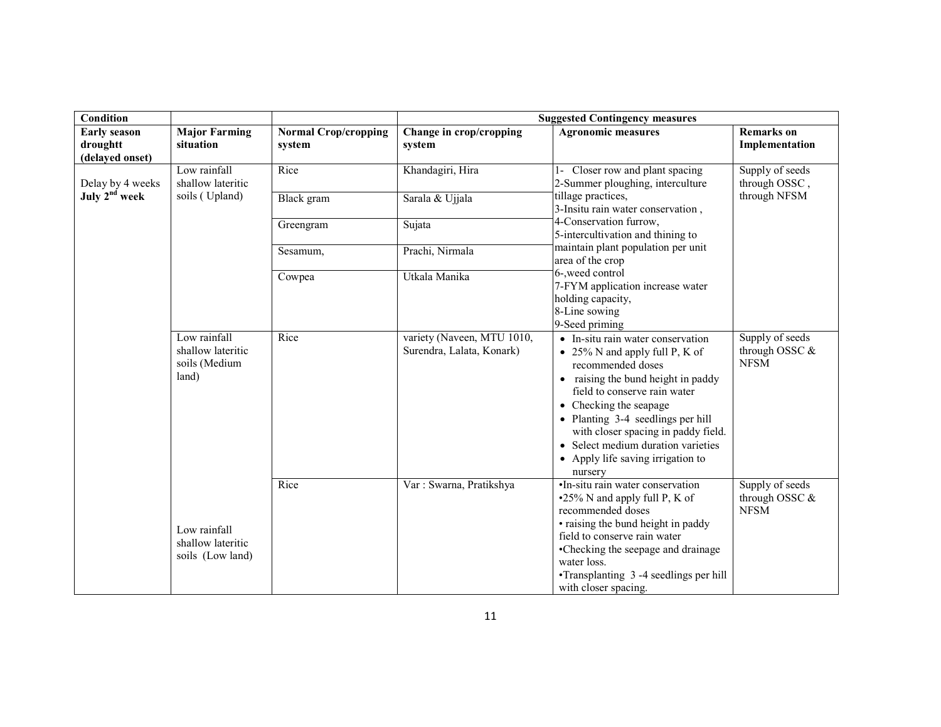| <b>Condition</b>                                   |                                                             |                                       |                                                         | <b>Suggested Contingency measures</b>                                                                                                                                                                                                                                                                                                                      |                                                    |
|----------------------------------------------------|-------------------------------------------------------------|---------------------------------------|---------------------------------------------------------|------------------------------------------------------------------------------------------------------------------------------------------------------------------------------------------------------------------------------------------------------------------------------------------------------------------------------------------------------------|----------------------------------------------------|
| <b>Early season</b><br>droughtt<br>(delayed onset) | <b>Major Farming</b><br>situation                           | <b>Normal Crop/cropping</b><br>system | Change in crop/cropping<br>system                       | <b>Agronomic measures</b>                                                                                                                                                                                                                                                                                                                                  | <b>Remarks</b> on<br>Implementation                |
| Delay by 4 weeks                                   | Low rainfall<br>shallow lateritic                           | Rice                                  | Khandagiri, Hira                                        | 1- Closer row and plant spacing<br>2-Summer ploughing, interculture                                                                                                                                                                                                                                                                                        | Supply of seeds<br>through OSSC,                   |
| July 2 <sup>nd</sup> week                          | soils (Upland)                                              | <b>Black</b> gram                     | Sarala & Ujjala                                         | tillage practices,<br>3-Insitu rain water conservation,                                                                                                                                                                                                                                                                                                    | through NFSM                                       |
|                                                    |                                                             | Greengram                             | Sujata                                                  | 4-Conservation furrow,<br>5-intercultivation and thining to                                                                                                                                                                                                                                                                                                |                                                    |
|                                                    |                                                             | Sesamum,                              | Prachi, Nirmala                                         | maintain plant population per unit<br>area of the crop                                                                                                                                                                                                                                                                                                     |                                                    |
|                                                    |                                                             | Cowpea                                | Utkala Manika                                           | 6-, weed control<br>7-FYM application increase water<br>holding capacity,<br>8-Line sowing<br>9-Seed priming                                                                                                                                                                                                                                               |                                                    |
|                                                    | Low rainfall<br>shallow lateritic<br>soils (Medium<br>land) | Rice                                  | variety (Naveen, MTU 1010,<br>Surendra, Lalata, Konark) | • In-situ rain water conservation<br>• 25% N and apply full P, K of<br>recommended doses<br>• raising the bund height in paddy<br>field to conserve rain water<br>• Checking the seapage<br>• Planting 3-4 seedlings per hill<br>with closer spacing in paddy field.<br>• Select medium duration varieties<br>• Apply life saving irrigation to<br>nursery | Supply of seeds<br>through OSSC $&$<br><b>NFSM</b> |
|                                                    | Low rainfall<br>shallow lateritic<br>soils (Low land)       | Rice                                  | Var: Swarna, Pratikshya                                 | •In-situ rain water conservation<br>•25% N and apply full P, K of<br>recommended doses<br>• raising the bund height in paddy<br>field to conserve rain water<br>•Checking the seepage and drainage<br>water loss.<br>•Transplanting 3 -4 seedlings per hill<br>with closer spacing.                                                                        | Supply of seeds<br>through OSSC &<br><b>NFSM</b>   |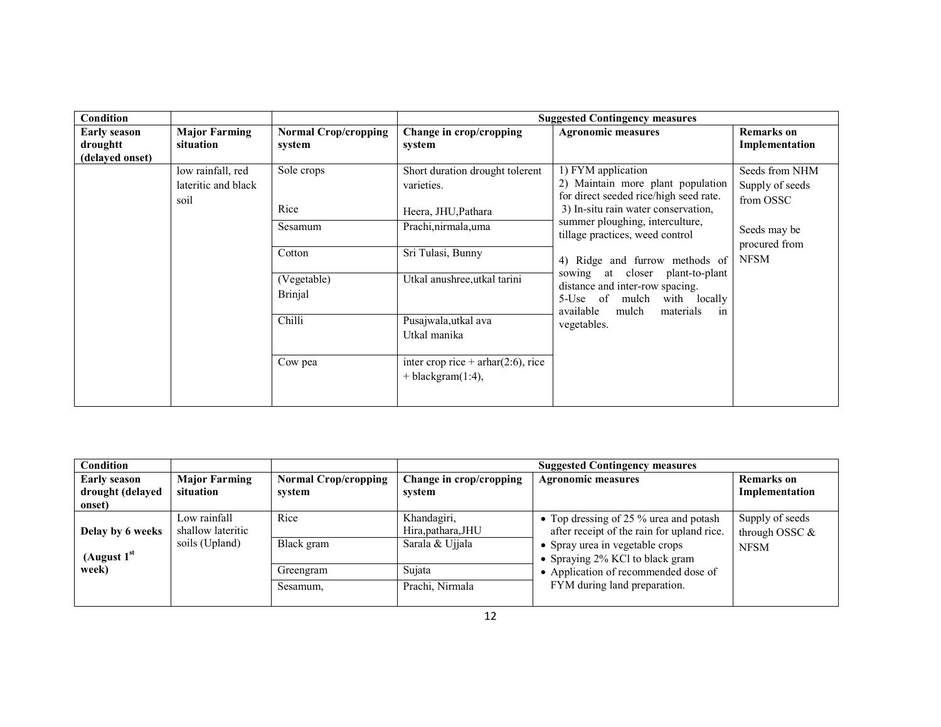| Condition                                          |                                                  |                                       |                                                                  | <b>Suggested Contingency measures</b>                                                                                                                              |                                     |  |                                                |
|----------------------------------------------------|--------------------------------------------------|---------------------------------------|------------------------------------------------------------------|--------------------------------------------------------------------------------------------------------------------------------------------------------------------|-------------------------------------|--|------------------------------------------------|
| <b>Early season</b><br>droughtt<br>(delayed onset) | <b>Major Farming</b><br>situation                | <b>Normal Crop/cropping</b><br>system | Change in crop/cropping<br>system                                | <b>Agronomic measures</b>                                                                                                                                          | <b>Remarks</b> on<br>Implementation |  |                                                |
|                                                    | low rainfall, red<br>lateritic and black<br>soil | Sole crops                            | Short duration drought tolerent<br>varieties.                    | 1) FYM application<br>2) Maintain more plant population<br>for direct seeded rice/high seed rate.<br>3) In-situ rain water conservation,                           |                                     |  | Seeds from NHM<br>Supply of seeds<br>from OSSC |
|                                                    |                                                  | Rice                                  | Heera, JHU, Pathara                                              |                                                                                                                                                                    |                                     |  |                                                |
|                                                    |                                                  | Sesamum                               | Prachi, nirmala, uma                                             | summer ploughing, interculture,<br>tillage practices, weed control                                                                                                 | Seeds may be<br>procured from       |  |                                                |
|                                                    |                                                  | Cotton                                | Sri Tulasi, Bunny                                                | 4) Ridge and furrow methods of                                                                                                                                     | <b>NFSM</b>                         |  |                                                |
|                                                    |                                                  | (Vegetable)<br><b>Brinjal</b>         | Utkal anushree, utkal tarini                                     | at closer<br>plant-to-plant<br>sowing<br>distance and inter-row spacing.<br>5-Use of<br>mulch with locally<br>materials<br>available<br>mulch<br>in<br>vegetables. |                                     |  |                                                |
|                                                    |                                                  | Chilli                                | Pusajwala, utkal ava<br>Utkal manika                             |                                                                                                                                                                    |                                     |  |                                                |
|                                                    |                                                  | Cow pea                               | inter crop rice + $arhar(2:6)$ , rice<br>$+$ blackgram $(1:4)$ , |                                                                                                                                                                    |                                     |  |                                                |

| Condition                                         |                                                     |                                       |                                                      | <b>Suggested Contingency measures</b>                                                                                                                      |                                                    |
|---------------------------------------------------|-----------------------------------------------------|---------------------------------------|------------------------------------------------------|------------------------------------------------------------------------------------------------------------------------------------------------------------|----------------------------------------------------|
| <b>Early season</b><br>drought (delayed<br>onset) | <b>Major Farming</b><br>situation                   | <b>Normal Crop/cropping</b><br>system | Change in crop/cropping<br>system                    | <b>Agronomic measures</b>                                                                                                                                  | Remarks on<br>Implementation                       |
| Delay by 6 weeks<br>(August 1 <sup>st</sup>       | Low rainfall<br>shallow lateritic<br>soils (Upland) | Rice<br>Black gram                    | Khandagiri,<br>Hira, pathara, JHU<br>Sarala & Ujjala | • Top dressing of 25 % urea and potash<br>after receipt of the rain for upland rice.<br>• Spray urea in vegetable crops<br>• Spraying 2% KCl to black gram | Supply of seeds<br>through OSSC $&$<br><b>NFSM</b> |
| week)                                             |                                                     | Greengram<br>Sesamum,                 | Sujata<br>Prachi, Nirmala                            | • Application of recommended dose of<br>FYM during land preparation.                                                                                       |                                                    |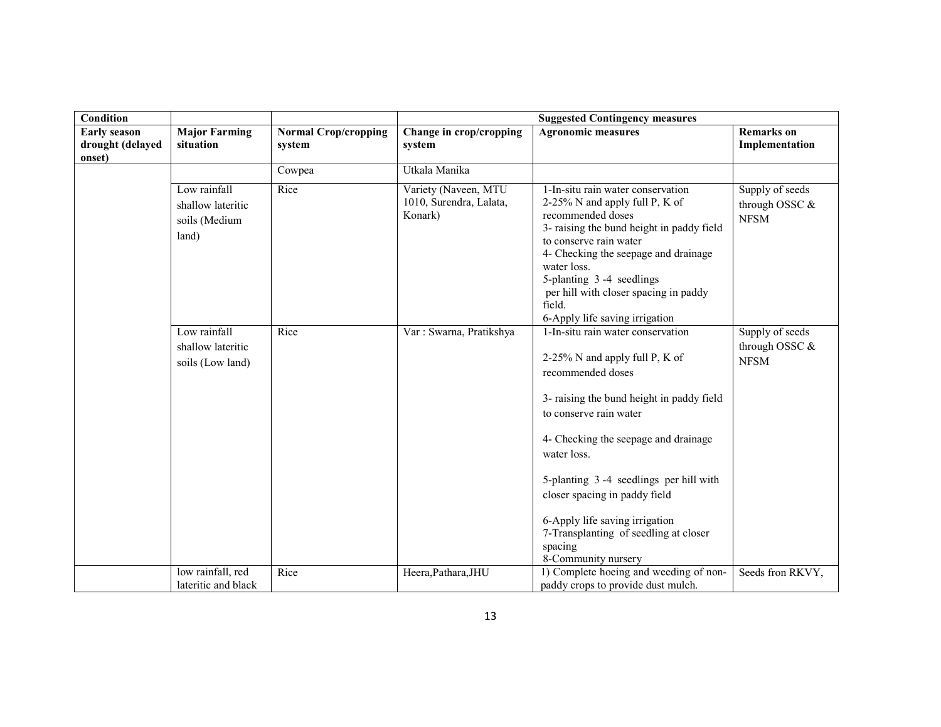| Condition                                         |                                                             |                                       |                                                            | <b>Suggested Contingency measures</b>                                                                                                                                                                                                                                                                                                                                                                          |                                                  |
|---------------------------------------------------|-------------------------------------------------------------|---------------------------------------|------------------------------------------------------------|----------------------------------------------------------------------------------------------------------------------------------------------------------------------------------------------------------------------------------------------------------------------------------------------------------------------------------------------------------------------------------------------------------------|--------------------------------------------------|
| <b>Early season</b><br>drought (delayed<br>onset) | <b>Major Farming</b><br>situation                           | <b>Normal Crop/cropping</b><br>system | Change in crop/cropping<br>system                          | <b>Agronomic measures</b>                                                                                                                                                                                                                                                                                                                                                                                      | <b>Remarks</b> on<br>Implementation              |
|                                                   |                                                             | Cowpea                                | Utkala Manika                                              |                                                                                                                                                                                                                                                                                                                                                                                                                |                                                  |
|                                                   | Low rainfall<br>shallow lateritic<br>soils (Medium<br>land) | Rice                                  | Variety (Naveen, MTU<br>1010, Surendra, Lalata,<br>Konark) | 1-In-situ rain water conservation<br>2-25% N and apply full P, K of<br>recommended doses<br>3- raising the bund height in paddy field<br>to conserve rain water<br>4- Checking the seepage and drainage<br>water loss.<br>5-planting 3-4 seedlings<br>per hill with closer spacing in paddy<br>field.<br>6-Apply life saving irrigation                                                                        | Supply of seeds<br>through OSSC &<br><b>NFSM</b> |
|                                                   | Low rainfall<br>shallow lateritic<br>soils (Low land)       | Rice                                  | Var: Swarna, Pratikshya                                    | 1-In-situ rain water conservation<br>2-25% N and apply full P, K of<br>recommended doses<br>3- raising the bund height in paddy field<br>to conserve rain water<br>4- Checking the seepage and drainage<br>water loss.<br>5-planting 3-4 seedlings per hill with<br>closer spacing in paddy field<br>6-Apply life saving irrigation<br>7-Transplanting of seedling at closer<br>spacing<br>8-Community nursery | Supply of seeds<br>through OSSC &<br><b>NFSM</b> |
|                                                   | low rainfall, red<br>lateritic and black                    | Rice                                  | Heera, Pathara, JHU                                        | 1) Complete hoeing and weeding of non-<br>paddy crops to provide dust mulch.                                                                                                                                                                                                                                                                                                                                   | Seeds fron RKVY,                                 |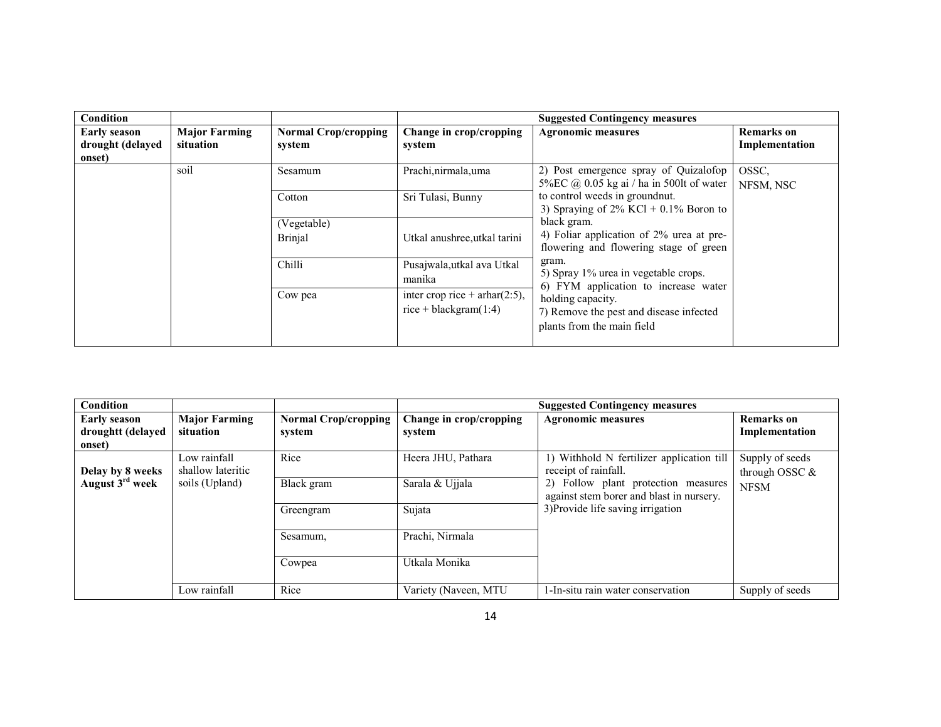| Condition                                         |                                   |                                       |                                                             | <b>Suggested Contingency measures</b>                                                             |                              |
|---------------------------------------------------|-----------------------------------|---------------------------------------|-------------------------------------------------------------|---------------------------------------------------------------------------------------------------|------------------------------|
| <b>Early season</b><br>drought (delayed<br>onset) | <b>Major Farming</b><br>situation | <b>Normal Crop/cropping</b><br>system | Change in crop/cropping<br>system                           | <b>Agronomic measures</b>                                                                         | Remarks on<br>Implementation |
|                                                   | soil                              | Sesamum                               | Prachi, nirmala, uma                                        | 2) Post emergence spray of Quizalofop<br>5% EC $\omega$ 0.05 kg ai / ha in 500lt of water         | OSSC.<br>NFSM, NSC           |
|                                                   |                                   | Cotton                                | Sri Tulasi, Bunny                                           | to control weeds in ground nut.<br>3) Spraying of $2\%$ KCl + 0.1% Boron to                       |                              |
|                                                   |                                   | (Vegetable)<br><b>Brinjal</b>         | Utkal anushree, utkal tarini                                | black gram.<br>4) Foliar application of 2% urea at pre-<br>flowering and flowering stage of green |                              |
|                                                   |                                   | Chilli                                | Pusajwala,utkal ava Utkal<br>manika                         | gram.<br>5) Spray 1% urea in vegetable crops.<br>6) FYM application to increase water             |                              |
|                                                   |                                   | Cow pea                               | inter crop rice + $arhar(2:5)$ ,<br>$rice + blackgram(1:4)$ | holding capacity.<br>7) Remove the pest and disease infected<br>plants from the main field        |                              |

| Condition                                          |                                   |                                       |                                   | <b>Suggested Contingency measures</b>                                           |                                     |
|----------------------------------------------------|-----------------------------------|---------------------------------------|-----------------------------------|---------------------------------------------------------------------------------|-------------------------------------|
| <b>Early season</b><br>droughtt (delayed<br>onset) | <b>Major Farming</b><br>situation | <b>Normal Crop/cropping</b><br>system | Change in crop/cropping<br>system | <b>Agronomic measures</b>                                                       | <b>Remarks</b> on<br>Implementation |
| Delay by 8 weeks                                   | Low rainfall<br>shallow lateritic | Rice                                  | Heera JHU, Pathara                | 1) Withhold N fertilizer application till<br>receipt of rainfall.               | Supply of seeds<br>through OSSC $&$ |
| August 3 <sup>rd</sup> week                        | soils (Upland)                    | Black gram                            | Sarala & Ujjala                   | 2) Follow plant protection measures<br>against stem borer and blast in nursery. | <b>NFSM</b>                         |
|                                                    |                                   | Greengram                             | Sujata                            | 3) Provide life saving irrigation                                               |                                     |
|                                                    |                                   | Sesamum,                              | Prachi, Nirmala                   |                                                                                 |                                     |
|                                                    |                                   | Cowpea                                | Utkala Monika                     |                                                                                 |                                     |
|                                                    | Low rainfall                      | Rice                                  | Variety (Naveen, MTU              | 1-In-situ rain water conservation                                               | Supply of seeds                     |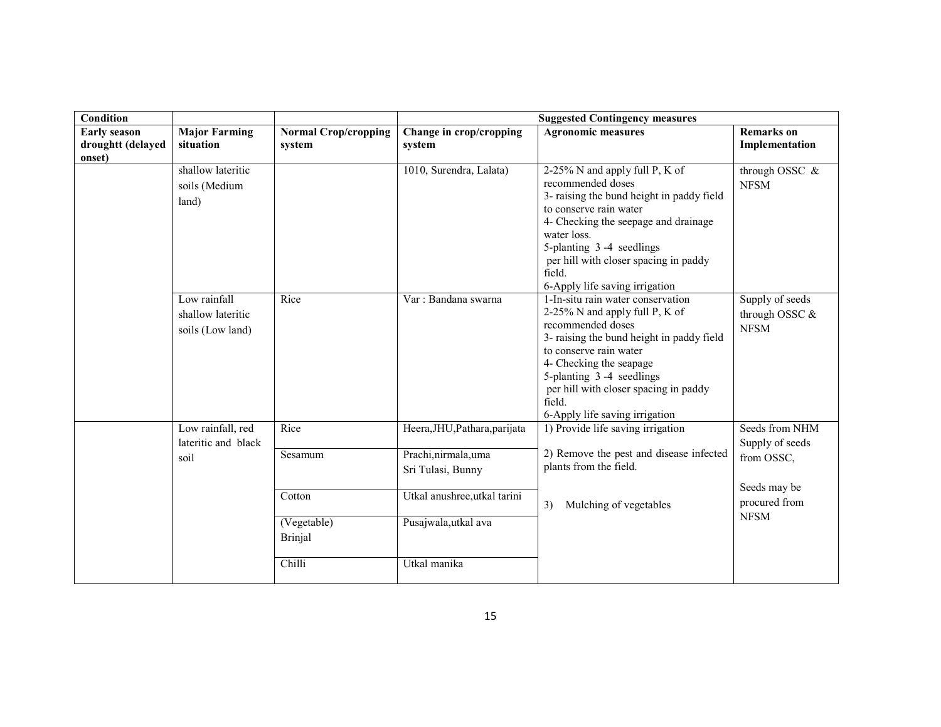| Condition                                          |                                                       |                                         | <b>Suggested Contingency measures</b>                                      |                                                                                                                                                                                                                                                                                                             |                                                    |  |
|----------------------------------------------------|-------------------------------------------------------|-----------------------------------------|----------------------------------------------------------------------------|-------------------------------------------------------------------------------------------------------------------------------------------------------------------------------------------------------------------------------------------------------------------------------------------------------------|----------------------------------------------------|--|
| <b>Early season</b><br>droughtt (delayed<br>onset) | <b>Major Farming</b><br>situation                     | <b>Normal Crop/cropping</b><br>system   | Change in crop/cropping<br>system                                          | <b>Agronomic measures</b>                                                                                                                                                                                                                                                                                   | <b>Remarks</b> on<br>Implementation                |  |
|                                                    | shallow lateritic<br>soils (Medium<br>land)           |                                         | 1010, Surendra, Lalata)                                                    | 2-25% N and apply full P, K of<br>recommended doses<br>3- raising the bund height in paddy field<br>to conserve rain water<br>4- Checking the seepage and drainage<br>water loss.<br>5-planting 3-4 seedlings<br>per hill with closer spacing in paddy<br>field.<br>6-Apply life saving irrigation          | through OSSC &<br><b>NFSM</b>                      |  |
|                                                    | Low rainfall<br>shallow lateritic<br>soils (Low land) | Rice                                    | Var: Bandana swarna                                                        | 1-In-situ rain water conservation<br>2-25% N and apply full P, K of<br>recommended doses<br>3- raising the bund height in paddy field<br>to conserve rain water<br>4- Checking the seapage<br>5-planting 3-4 seedlings<br>per hill with closer spacing in paddy<br>field.<br>6-Apply life saving irrigation | Supply of seeds<br>through OSSC $&$<br><b>NFSM</b> |  |
|                                                    | Low rainfall, red<br>lateritic and black<br>soil      | Rice<br>Sesamum                         | Heera, JHU, Pathara, parijata<br>Prachi, nirmala, uma<br>Sri Tulasi, Bunny | 1) Provide life saving irrigation<br>2) Remove the pest and disease infected<br>plants from the field.                                                                                                                                                                                                      | Seeds from NHM<br>Supply of seeds<br>from OSSC,    |  |
|                                                    |                                                       | Cotton<br>(Vegetable)<br><b>Brinjal</b> | Utkal anushree, utkal tarini<br>Pusajwala,utkal ava                        | 3)<br>Mulching of vegetables                                                                                                                                                                                                                                                                                | Seeds may be<br>procured from<br><b>NFSM</b>       |  |
|                                                    |                                                       | Chilli                                  | Utkal manika                                                               |                                                                                                                                                                                                                                                                                                             |                                                    |  |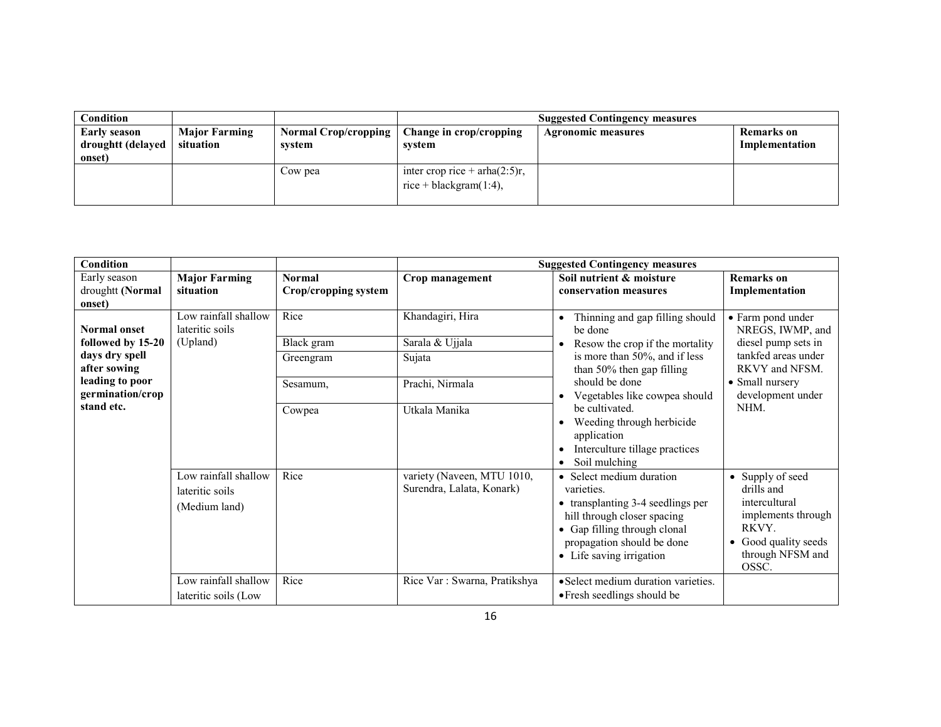| $\complement$ ondition |                      |                             |                                   | <b>Suggested Contingency measures</b> |                   |
|------------------------|----------------------|-----------------------------|-----------------------------------|---------------------------------------|-------------------|
| Early season           | <b>Major Farming</b> | <b>Normal Crop/cropping</b> | Change in crop/cropping           | <b>Agronomic measures</b>             | <b>Remarks</b> on |
| droughtt (delayed      | situation            | system                      | system                            |                                       | Implementation    |
| onset)                 |                      |                             |                                   |                                       |                   |
|                        |                      | Cow pea                     | inter crop rice + arha $(2:5)r$ , |                                       |                   |
|                        |                      |                             | rice + blackgram $(1:4)$ ,        |                                       |                   |
|                        |                      |                             |                                   |                                       |                   |

| Condition                                                                                                                       |                                                                                                          |                                                       |                                                                                         | <b>Suggested Contingency measures</b>                                                                                                                                                                                                                                                                                                                                            |                                                                                                                                                       |
|---------------------------------------------------------------------------------------------------------------------------------|----------------------------------------------------------------------------------------------------------|-------------------------------------------------------|-----------------------------------------------------------------------------------------|----------------------------------------------------------------------------------------------------------------------------------------------------------------------------------------------------------------------------------------------------------------------------------------------------------------------------------------------------------------------------------|-------------------------------------------------------------------------------------------------------------------------------------------------------|
| Early season<br>droughtt (Normal<br>onset)                                                                                      | <b>Major Farming</b><br>situation                                                                        | <b>Normal</b><br>Crop/cropping system                 | Crop management                                                                         | Soil nutrient & moisture<br>conservation measures                                                                                                                                                                                                                                                                                                                                | <b>Remarks</b> on<br>Implementation                                                                                                                   |
| <b>Normal onset</b><br>followed by 15-20<br>days dry spell<br>after sowing<br>leading to poor<br>germination/crop<br>stand etc. | Low rainfall shallow<br>lateritic soils<br>(Upland)                                                      | Rice<br>Black gram<br>Greengram<br>Sesamum,<br>Cowpea | Khandagiri, Hira<br>Sarala & Ujjala<br>Sujata<br>Prachi, Nirmala<br>Utkala Manika       | Thinning and gap filling should<br>$\bullet$<br>be done<br>Resow the crop if the mortality<br>is more than 50%, and if less<br>than 50% then gap filling<br>should be done<br>Vegetables like cowpea should<br>$\bullet$<br>be cultivated.<br>Weeding through herbicide<br>$\bullet$<br>application<br>Interculture tillage practices<br>$\bullet$<br>Soil mulching<br>$\bullet$ | • Farm pond under<br>NREGS, IWMP, and<br>diesel pump sets in<br>tankfed areas under<br>RKVY and NFSM.<br>• Small nursery<br>development under<br>NHM. |
|                                                                                                                                 | Low rainfall shallow<br>lateritic soils<br>(Medium land)<br>Low rainfall shallow<br>lateritic soils (Low | Rice<br>Rice                                          | variety (Naveen, MTU 1010,<br>Surendra, Lalata, Konark)<br>Rice Var: Swarna, Pratikshya | • Select medium duration<br>varieties.<br>• transplanting 3-4 seedlings per<br>hill through closer spacing<br>• Gap filling through clonal<br>propagation should be done<br>• Life saving irrigation<br>• Select medium duration varieties.<br>• Fresh seedlings should be                                                                                                       | • Supply of seed<br>drills and<br>intercultural<br>implements through<br>RKVY.<br>• Good quality seeds<br>through NFSM and<br>OSSC.                   |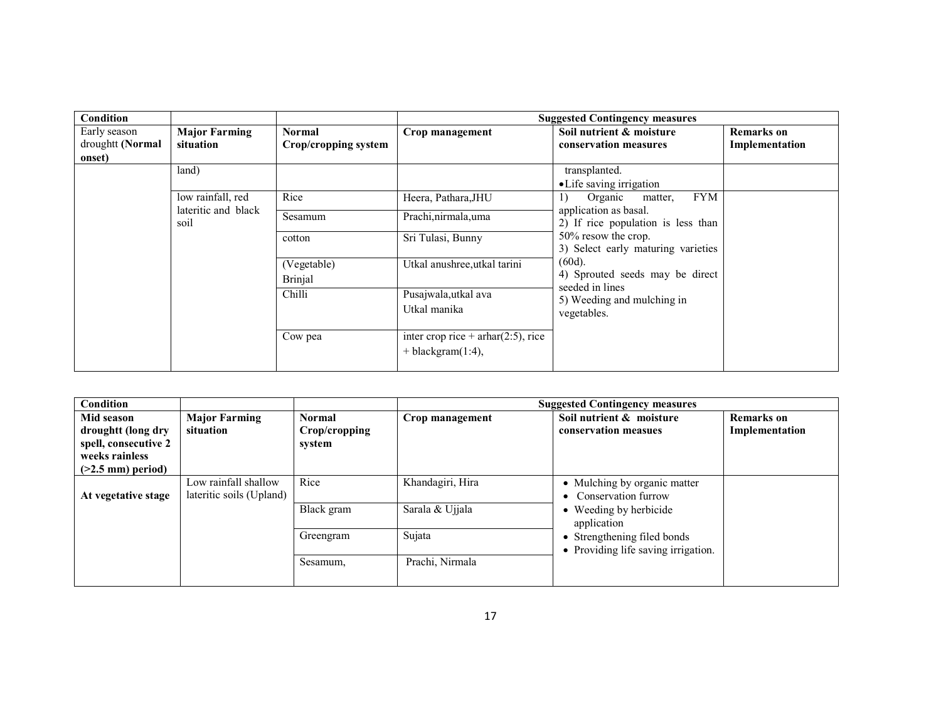| Condition        |                             |                      |                                       | <b>Suggested Contingency measures</b>                                                                                                                                                                                                                                              |                   |
|------------------|-----------------------------|----------------------|---------------------------------------|------------------------------------------------------------------------------------------------------------------------------------------------------------------------------------------------------------------------------------------------------------------------------------|-------------------|
| Early season     | <b>Major Farming</b>        | Normal               | Crop management                       | Soil nutrient & moisture                                                                                                                                                                                                                                                           | <b>Remarks</b> on |
| droughtt (Normal | situation                   | Crop/cropping system |                                       | conservation measures                                                                                                                                                                                                                                                              | Implementation    |
| onset)           |                             |                      |                                       |                                                                                                                                                                                                                                                                                    |                   |
|                  | land)                       |                      |                                       | transplanted.                                                                                                                                                                                                                                                                      |                   |
|                  |                             |                      |                                       | • Life saving irrigation                                                                                                                                                                                                                                                           |                   |
|                  | low rainfall, red           | Rice                 | Heera, Pathara, JHU                   | <b>FYM</b><br>Organic<br>1)<br>matter,<br>application as basal.<br>2) If rice population is less than<br>50% resow the crop.<br>3) Select early maturing varieties<br>$(60d)$ .<br>4) Sprouted seeds may be direct<br>seeded in lines<br>5) Weeding and mulching in<br>vegetables. |                   |
|                  | lateritic and black<br>soil | Sesamum              | Prachi, nirmala, uma                  |                                                                                                                                                                                                                                                                                    |                   |
|                  |                             | cotton               | Sri Tulasi, Bunny                     |                                                                                                                                                                                                                                                                                    |                   |
|                  |                             | (Vegetable)          | Utkal anushree, utkal tarini          |                                                                                                                                                                                                                                                                                    |                   |
|                  |                             | <b>Brinjal</b>       |                                       |                                                                                                                                                                                                                                                                                    |                   |
|                  |                             | Chilli               | Pusajwala,utkal ava                   |                                                                                                                                                                                                                                                                                    |                   |
|                  |                             |                      | Utkal manika                          |                                                                                                                                                                                                                                                                                    |                   |
|                  |                             | Cow pea              | inter crop rice + $arhar(2:5)$ , rice |                                                                                                                                                                                                                                                                                    |                   |
|                  |                             |                      | $+$ blackgram $(1:4)$ ,               |                                                                                                                                                                                                                                                                                    |                   |

| Condition                                                                                          |                                                  |                                          |                                     | <b>Suggested Contingency measures</b>                                                          |                                     |
|----------------------------------------------------------------------------------------------------|--------------------------------------------------|------------------------------------------|-------------------------------------|------------------------------------------------------------------------------------------------|-------------------------------------|
| Mid season<br>droughtt (long dry<br>spell, consecutive 2<br>weeks rainless<br>$($ >2.5 mm) period) | <b>Major Farming</b><br>situation                | <b>Normal</b><br>Crop/cropping<br>system | Crop management                     | Soil nutrient & moisture<br>conservation measues                                               | <b>Remarks</b> on<br>Implementation |
| At vegetative stage                                                                                | Low rainfall shallow<br>lateritic soils (Upland) | Rice<br>Black gram                       | Khandagiri, Hira<br>Sarala & Ujjala | • Mulching by organic matter<br>• Conservation furrow<br>• Weeding by herbicide<br>application |                                     |
|                                                                                                    |                                                  | Greengram                                | Sujata                              | • Strengthening filed bonds<br>• Providing life saving irrigation.                             |                                     |
|                                                                                                    |                                                  | Sesamum,                                 | Prachi, Nirmala                     |                                                                                                |                                     |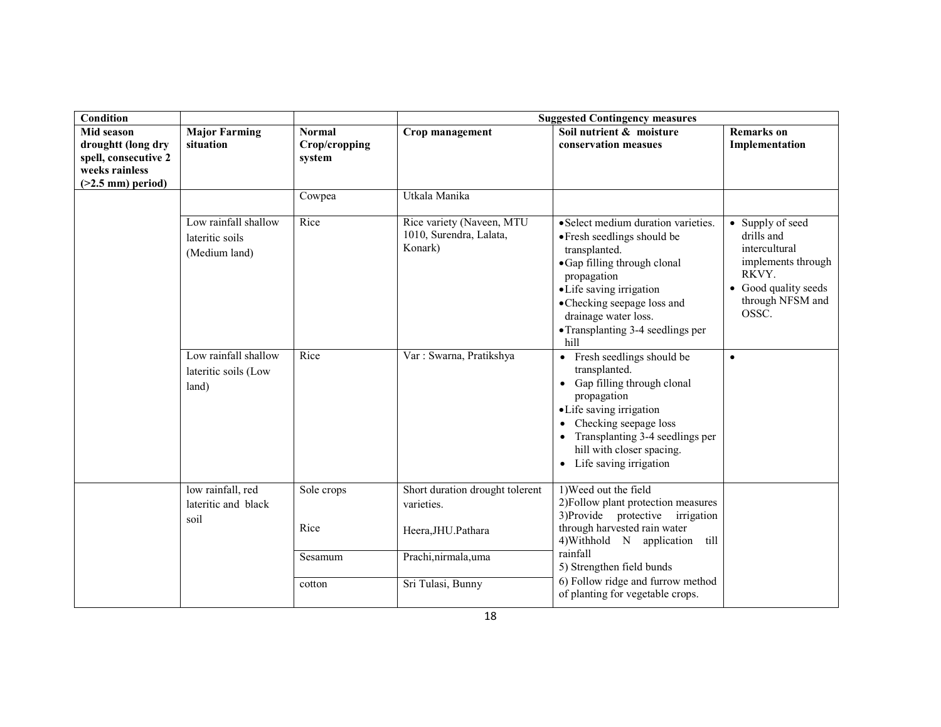| Condition                                                                                                |                                                          |                                          | <b>Suggested Contingency measures</b>                                                      |                                                                                                                                                                                                                                                                   |                                                                                                                                     |  |
|----------------------------------------------------------------------------------------------------------|----------------------------------------------------------|------------------------------------------|--------------------------------------------------------------------------------------------|-------------------------------------------------------------------------------------------------------------------------------------------------------------------------------------------------------------------------------------------------------------------|-------------------------------------------------------------------------------------------------------------------------------------|--|
| <b>Mid season</b><br>droughtt (long dry<br>spell, consecutive 2<br>weeks rainless<br>$(>2.5$ mm) period) | <b>Major Farming</b><br>situation                        | <b>Normal</b><br>Crop/cropping<br>system | Crop management                                                                            | Soil nutrient & moisture<br>conservation measues                                                                                                                                                                                                                  | <b>Remarks</b> on<br>Implementation                                                                                                 |  |
|                                                                                                          |                                                          | Cowpea                                   | Utkala Manika                                                                              |                                                                                                                                                                                                                                                                   |                                                                                                                                     |  |
|                                                                                                          | Low rainfall shallow<br>lateritic soils<br>(Medium land) | Rice                                     | Rice variety (Naveen, MTU<br>1010, Surendra, Lalata,<br>Konark)                            | • Select medium duration varieties.<br>• Fresh seedlings should be<br>transplanted.<br>• Gap filling through clonal<br>propagation<br>·Life saving irrigation<br>• Checking seepage loss and<br>drainage water loss.<br>• Transplanting 3-4 seedlings per<br>hill | • Supply of seed<br>drills and<br>intercultural<br>implements through<br>RKVY.<br>• Good quality seeds<br>through NFSM and<br>OSSC. |  |
|                                                                                                          | Low rainfall shallow<br>lateritic soils (Low<br>land)    | Rice                                     | Var: Swarna, Pratikshya                                                                    | Fresh seedlings should be<br>$\bullet$<br>transplanted.<br>Gap filling through clonal<br>propagation<br>• Life saving irrigation<br>Checking seepage loss<br>Transplanting 3-4 seedlings per<br>hill with closer spacing.<br>• Life saving irrigation             | $\bullet$                                                                                                                           |  |
|                                                                                                          | low rainfall, red<br>lateritic and black<br>soil         | Sole crops<br>Rice<br>Sesamum            | Short duration drought tolerent<br>varieties.<br>Heera, JHU. Pathara<br>Prachi,nirmala,uma | 1) Weed out the field<br>2) Follow plant protection measures<br>3) Provide protective irrigation<br>through harvested rain water<br>4) Withhold N application<br>till<br>rainfall<br>5) Strengthen field bunds                                                    |                                                                                                                                     |  |
|                                                                                                          |                                                          | cotton                                   | Sri Tulasi, Bunny                                                                          | 6) Follow ridge and furrow method<br>of planting for vegetable crops.                                                                                                                                                                                             |                                                                                                                                     |  |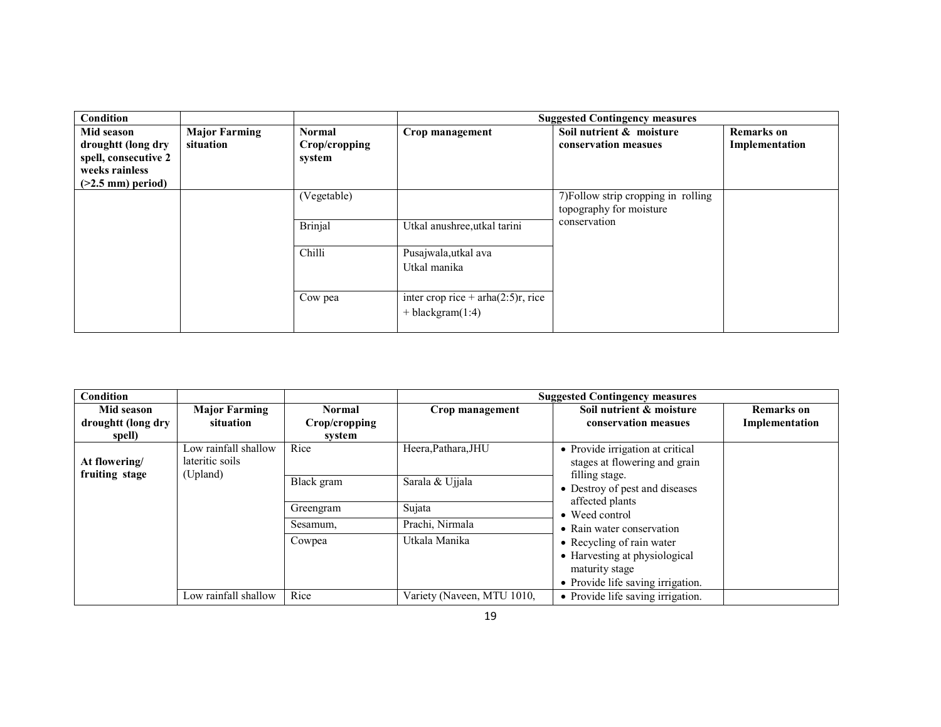| Condition                                                                                                |                                   |                                          |                                                                | <b>Suggested Contingency measures</b>                          |                                     |
|----------------------------------------------------------------------------------------------------------|-----------------------------------|------------------------------------------|----------------------------------------------------------------|----------------------------------------------------------------|-------------------------------------|
| Mid season<br>droughtt (long dry<br>spell, consecutive 2<br>weeks rainless<br>$($ >2.5 mm $)$ period $)$ | <b>Major Farming</b><br>situation | <b>Normal</b><br>Crop/cropping<br>system | Crop management                                                | Soil nutrient & moisture<br>conservation measues               | <b>Remarks</b> on<br>Implementation |
|                                                                                                          |                                   | (Vegetable)                              |                                                                | 7) Follow strip cropping in rolling<br>topography for moisture |                                     |
|                                                                                                          |                                   | <b>Brinjal</b>                           | Utkal anushree, utkal tarini                                   | conservation                                                   |                                     |
|                                                                                                          |                                   | Chilli                                   | Pusajwala,utkal ava<br>Utkal manika                            |                                                                |                                     |
|                                                                                                          |                                   | Cow pea                                  | inter crop rice + $arha(2:5)r$ , rice<br>$+$ blackgram $(1:4)$ |                                                                |                                     |

| Condition                                  |                                         |                                          |                            | <b>Suggested Contingency measures</b>                                                   |
|--------------------------------------------|-----------------------------------------|------------------------------------------|----------------------------|-----------------------------------------------------------------------------------------|
| Mid season<br>droughtt (long dry<br>spell) | <b>Major Farming</b><br>situation       | <b>Normal</b><br>Crop/cropping<br>system | Crop management            | Soil nutrient & moisture<br><b>Remarks</b> on<br>Implementation<br>conservation measues |
| At flowering/                              | Low rainfall shallow<br>lateritic soils | Rice                                     | Heera, Pathara, JHU        | • Provide irrigation at critical<br>stages at flowering and grain                       |
| fruiting stage<br>(Upland)                 |                                         | Black gram                               | Sarala & Ujjala            | filling stage.<br>• Destroy of pest and diseases                                        |
|                                            |                                         | Greengram                                | Sujata                     | affected plants<br>• Weed control                                                       |
|                                            |                                         | Sesamum,                                 | Prachi, Nirmala            | • Rain water conservation                                                               |
|                                            |                                         | Cowpea                                   | Utkala Manika              | • Recycling of rain water                                                               |
|                                            |                                         |                                          |                            | • Harvesting at physiological                                                           |
|                                            |                                         |                                          |                            | maturity stage                                                                          |
|                                            |                                         |                                          |                            | • Provide life saving irrigation.                                                       |
|                                            | Low rainfall shallow                    | Rice                                     | Variety (Naveen, MTU 1010, | • Provide life saving irrigation.                                                       |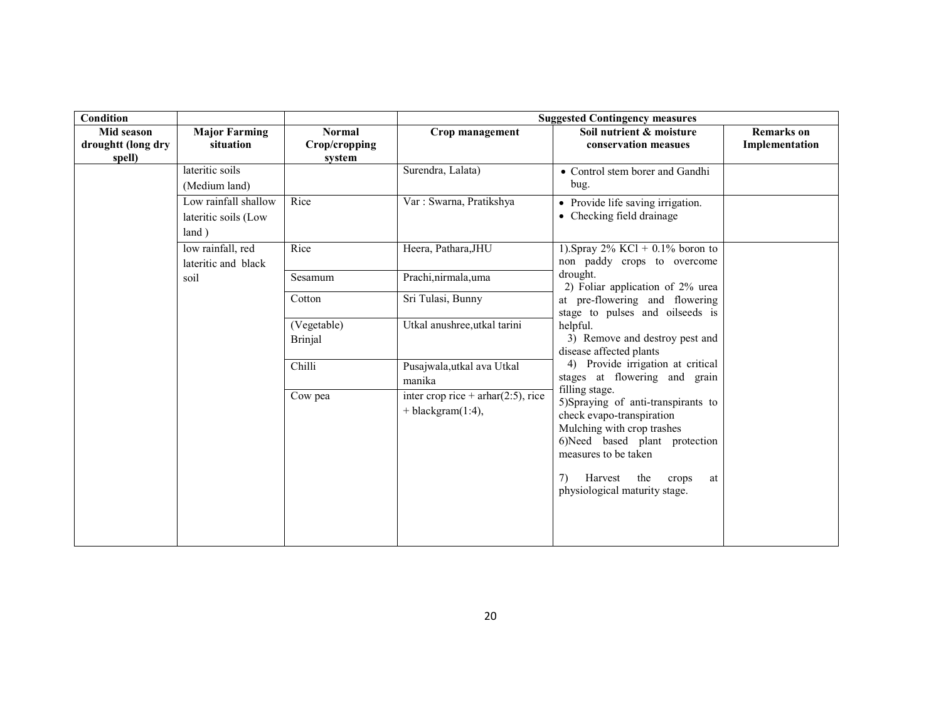| Condition                                  |                                                       |                                          |                                                                  | <b>Suggested Contingency measures</b>                                                                                                                                                                                                                                                                                                                                                                                                                                |                                     |
|--------------------------------------------|-------------------------------------------------------|------------------------------------------|------------------------------------------------------------------|----------------------------------------------------------------------------------------------------------------------------------------------------------------------------------------------------------------------------------------------------------------------------------------------------------------------------------------------------------------------------------------------------------------------------------------------------------------------|-------------------------------------|
| Mid season<br>droughtt (long dry<br>spell) | <b>Major Farming</b><br>situation                     | <b>Normal</b><br>Crop/cropping<br>system | Crop management                                                  | Soil nutrient & moisture<br>conservation measues                                                                                                                                                                                                                                                                                                                                                                                                                     | <b>Remarks</b> on<br>Implementation |
|                                            | lateritic soils<br>(Medium land)                      |                                          | Surendra, Lalata)                                                | • Control stem borer and Gandhi<br>bug.                                                                                                                                                                                                                                                                                                                                                                                                                              |                                     |
|                                            | Low rainfall shallow<br>lateritic soils (Low<br>land) | Rice                                     | Var: Swarna, Pratikshya                                          | • Provide life saving irrigation.<br>• Checking field drainage                                                                                                                                                                                                                                                                                                                                                                                                       |                                     |
|                                            | low rainfall, red<br>lateritic and black              | Rice                                     | Heera, Pathara, JHU                                              | 1). Spray $2\%$ KCl + 0.1% boron to<br>non paddy crops to overcome                                                                                                                                                                                                                                                                                                                                                                                                   |                                     |
|                                            | soil                                                  | Sesamum                                  | Prachi, nirmala, uma                                             | drought.<br>2) Foliar application of 2% urea                                                                                                                                                                                                                                                                                                                                                                                                                         |                                     |
|                                            |                                                       | Cotton                                   | Sri Tulasi, Bunny                                                | at pre-flowering and flowering<br>stage to pulses and oilseeds is<br>helpful.<br>3) Remove and destroy pest and<br>disease affected plants<br>4) Provide irrigation at critical<br>stages at flowering and grain<br>filling stage.<br>5)Spraying of anti-transpirants to<br>check evapo-transpiration<br>Mulching with crop trashes<br>6)Need based plant protection<br>measures to be taken<br>the<br>7)<br>Harvest<br>crops<br>at<br>physiological maturity stage. |                                     |
|                                            |                                                       | (Vegetable)<br><b>Brinjal</b>            | Utkal anushree, utkal tarini                                     |                                                                                                                                                                                                                                                                                                                                                                                                                                                                      |                                     |
|                                            |                                                       | Chilli                                   | Pusajwala,utkal ava Utkal<br>manika                              |                                                                                                                                                                                                                                                                                                                                                                                                                                                                      |                                     |
|                                            |                                                       | Cow pea                                  | inter crop rice + $arhar(2:5)$ , rice<br>$+$ blackgram $(1:4)$ , |                                                                                                                                                                                                                                                                                                                                                                                                                                                                      |                                     |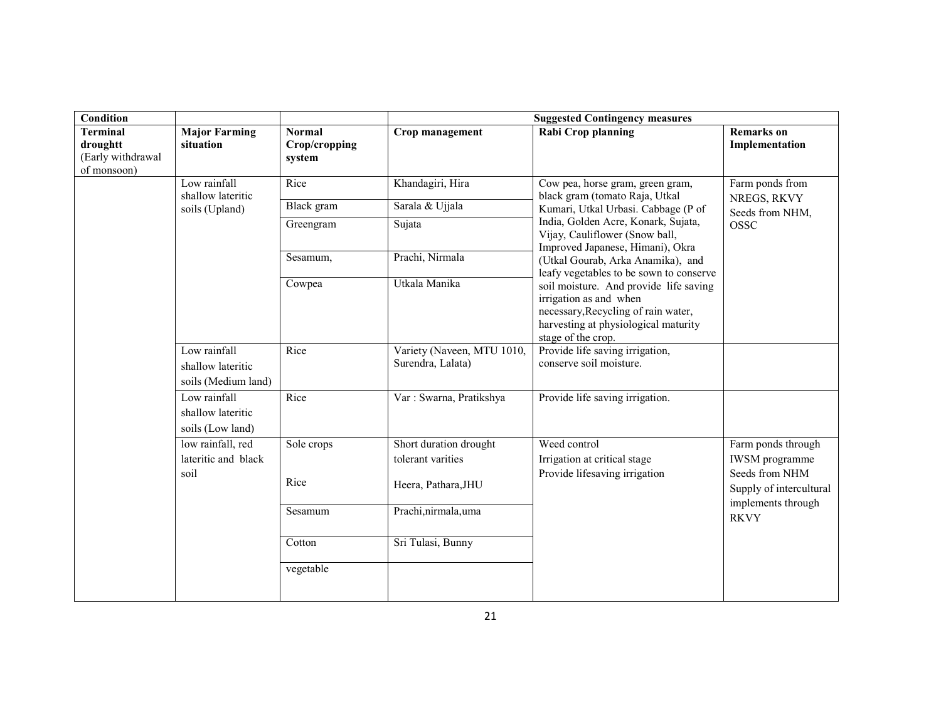| <b>Condition</b>                                                |                                                          |                                          | <b>Suggested Contingency measures</b>                              |                                                                                                                                                                       |                                                               |  |
|-----------------------------------------------------------------|----------------------------------------------------------|------------------------------------------|--------------------------------------------------------------------|-----------------------------------------------------------------------------------------------------------------------------------------------------------------------|---------------------------------------------------------------|--|
| <b>Terminal</b><br>droughtt<br>(Early withdrawal<br>of monsoon) | <b>Major Farming</b><br>situation                        | <b>Normal</b><br>Crop/cropping<br>system | Crop management                                                    | Rabi Crop planning                                                                                                                                                    | <b>Remarks</b> on<br>Implementation                           |  |
|                                                                 | Low rainfall<br>shallow lateritic                        | Rice                                     | Khandagiri, Hira                                                   | Cow pea, horse gram, green gram,<br>black gram (tomato Raja, Utkal                                                                                                    | Farm ponds from<br>NREGS, RKVY                                |  |
|                                                                 | soils (Upland)                                           | Black gram                               | Sarala & Ujjala                                                    | Kumari, Utkal Urbasi. Cabbage (P of                                                                                                                                   | Seeds from NHM,                                               |  |
|                                                                 |                                                          | Greengram                                | Sujata                                                             | India, Golden Acre, Konark, Sujata,<br>Vijay, Cauliflower (Snow ball,<br>Improved Japanese, Himani), Okra                                                             | <b>OSSC</b>                                                   |  |
|                                                                 |                                                          | Sesamum,                                 | Prachi, Nirmala                                                    | (Utkal Gourab, Arka Anamika), and<br>leafy vegetables to be sown to conserve                                                                                          |                                                               |  |
|                                                                 |                                                          | Cowpea                                   | Utkala Manika                                                      | soil moisture. And provide life saving<br>irrigation as and when<br>necessary, Recycling of rain water,<br>harvesting at physiological maturity<br>stage of the crop. |                                                               |  |
|                                                                 | Low rainfall<br>shallow lateritic<br>soils (Medium land) | Rice                                     | Variety (Naveen, MTU 1010,<br>Surendra, Lalata)                    | Provide life saving irrigation,<br>conserve soil moisture.                                                                                                            |                                                               |  |
|                                                                 | Low rainfall<br>shallow lateritic<br>soils (Low land)    | Rice                                     | Var: Swarna, Pratikshya                                            | Provide life saving irrigation.                                                                                                                                       |                                                               |  |
|                                                                 | low rainfall, red<br>lateritic and black<br>soil         | Sole crops<br>Rice                       | Short duration drought<br>tolerant varities<br>Heera, Pathara, JHU | Weed control<br>Irrigation at critical stage<br>Provide lifesaving irrigation                                                                                         | Farm ponds through<br><b>IWSM</b> programme<br>Seeds from NHM |  |
|                                                                 |                                                          |                                          |                                                                    |                                                                                                                                                                       | Supply of intercultural<br>implements through                 |  |
|                                                                 |                                                          | Sesamum                                  | Prachi, nirmala, uma                                               |                                                                                                                                                                       | <b>RKVY</b>                                                   |  |
|                                                                 |                                                          | Cotton                                   | Sri Tulasi, Bunny                                                  |                                                                                                                                                                       |                                                               |  |
|                                                                 |                                                          | vegetable                                |                                                                    |                                                                                                                                                                       |                                                               |  |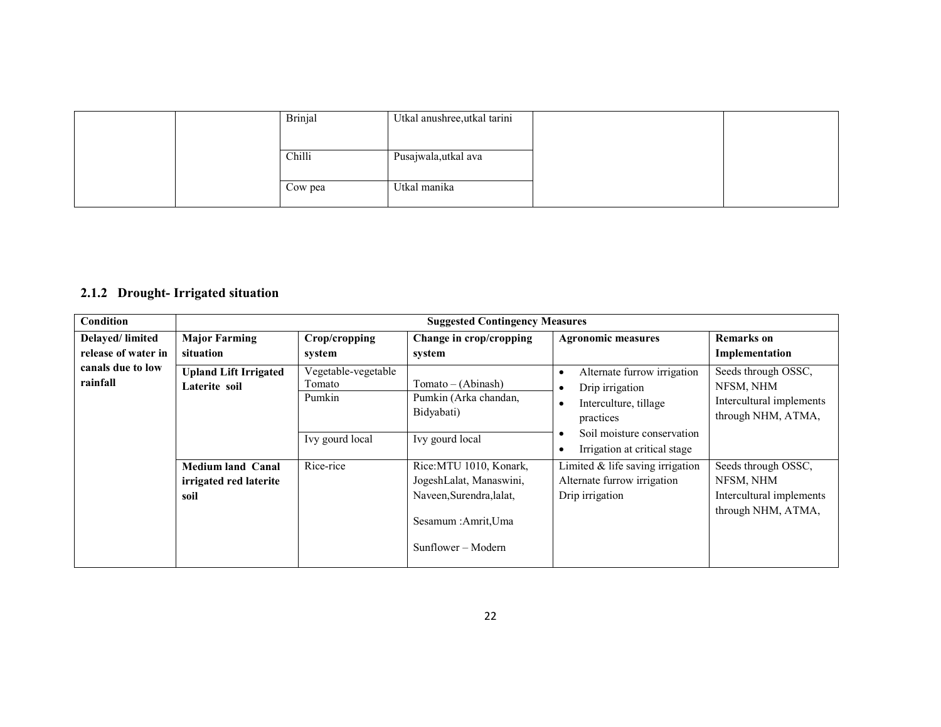|  | <b>Brinjal</b> | Utkal anushree, utkal tarini |  |
|--|----------------|------------------------------|--|
|  |                |                              |  |
|  | Chilli         | Pusajwala,utkal ava          |  |
|  |                |                              |  |
|  | Cow pea        | Utkal manika                 |  |

## 2.1.2 Drought- Irrigated situation

| Condition                              |                                                            | <b>Suggested Contingency Measures</b>                      |                                                                                                                              |                                                                                                                                                         |                                                                                    |  |
|----------------------------------------|------------------------------------------------------------|------------------------------------------------------------|------------------------------------------------------------------------------------------------------------------------------|---------------------------------------------------------------------------------------------------------------------------------------------------------|------------------------------------------------------------------------------------|--|
| Delayed/limited<br>release of water in | <b>Major Farming</b><br>situation                          | Crop/cropping<br>system                                    | Change in crop/cropping<br>system                                                                                            | <b>Agronomic measures</b>                                                                                                                               | <b>Remarks</b> on<br>Implementation                                                |  |
| canals due to low<br>rainfall          | <b>Upland Lift Irrigated</b><br>Laterite soil              | Vegetable-vegetable<br>Tomato<br>Pumkin<br>Ivy gourd local | Tomato – (Abinash)<br>Pumkin (Arka chandan,<br>Bidyabati)<br>Ivy gourd local                                                 | Alternate furrow irrigation<br>٠<br>Drip irrigation<br>Interculture, tillage<br>practices<br>Soil moisture conservation<br>Irrigation at critical stage | Seeds through OSSC,<br>NFSM, NHM<br>Intercultural implements<br>through NHM, ATMA, |  |
|                                        | <b>Medium land Canal</b><br>irrigated red laterite<br>soil | Rice-rice                                                  | Rice: MTU 1010, Konark,<br>JogeshLalat, Manaswini,<br>Naveen, Surendra, lalat,<br>Sesamum : Amrit, Uma<br>Sunflower – Modern | Limited $&$ life saving irrigation<br>Alternate furrow irrigation<br>Drip irrigation                                                                    | Seeds through OSSC,<br>NFSM, NHM<br>Intercultural implements<br>through NHM, ATMA, |  |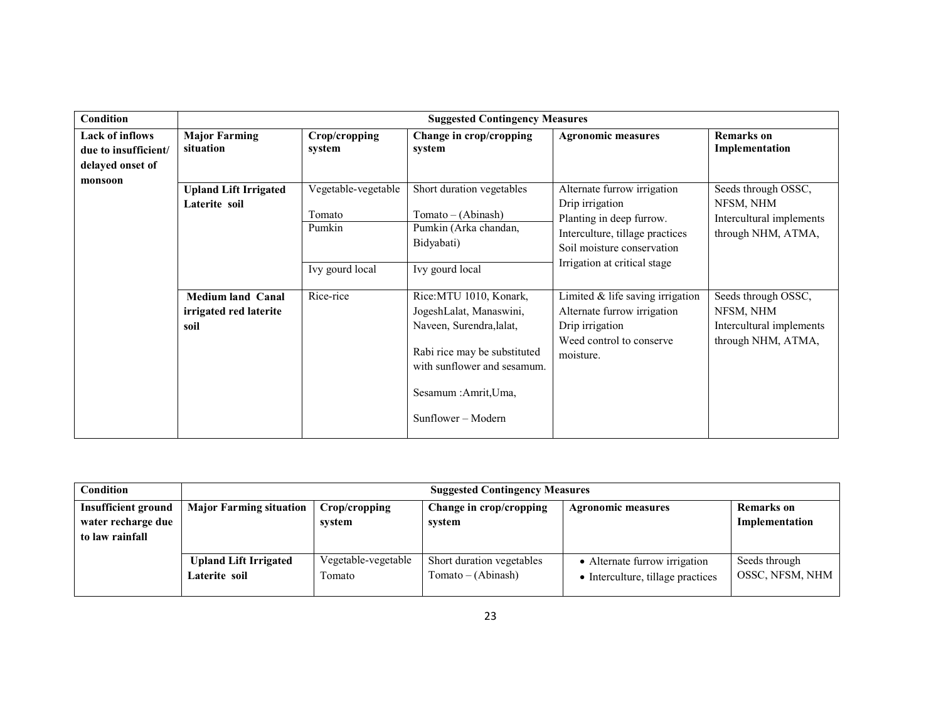| Condition                                                          | <b>Suggested Contingency Measures</b>                             |                                                            |                                                                                                                                                                                              |                                                                                                                                                                             |                                                                                    |
|--------------------------------------------------------------------|-------------------------------------------------------------------|------------------------------------------------------------|----------------------------------------------------------------------------------------------------------------------------------------------------------------------------------------------|-----------------------------------------------------------------------------------------------------------------------------------------------------------------------------|------------------------------------------------------------------------------------|
| <b>Lack of inflows</b><br>due to insufficient/<br>delayed onset of | <b>Major Farming</b><br>situation                                 | Crop/cropping<br>system                                    | Change in crop/cropping<br>system                                                                                                                                                            | <b>Agronomic measures</b>                                                                                                                                                   | <b>Remarks</b> on<br>Implementation                                                |
| monsoon                                                            | <b>Upland Lift Irrigated</b><br>Laterite soil                     | Vegetable-vegetable<br>Tomato<br>Pumkin<br>Ivy gourd local | Short duration vegetables<br>$Tomato - (Abinash)$<br>Pumkin (Arka chandan,<br>Bidyabati)<br>Ivy gourd local                                                                                  | Alternate furrow irrigation<br>Drip irrigation<br>Planting in deep furrow.<br>Interculture, tillage practices<br>Soil moisture conservation<br>Irrigation at critical stage | Seeds through OSSC,<br>NFSM, NHM<br>Intercultural implements<br>through NHM, ATMA, |
|                                                                    | <b>Medium land Canal</b><br><i>irrigated red laterite</i><br>soil | Rice-rice                                                  | Rice: MTU 1010, Konark,<br>JogeshLalat, Manaswini,<br>Naveen, Surendra, lalat,<br>Rabi rice may be substituted<br>with sunflower and sesamum.<br>Sesamum : Amrit, Uma,<br>Sunflower – Modern | Limited $&$ life saving irrigation<br>Alternate furrow irrigation<br>Drip irrigation<br>Weed control to conserve<br>moisture.                                               | Seeds through OSSC,<br>NFSM, NHM<br>Intercultural implements<br>through NHM, ATMA, |

| Condition                  | <b>Suggested Contingency Measures</b> |                                                                                            |                           |                                   |                 |  |
|----------------------------|---------------------------------------|--------------------------------------------------------------------------------------------|---------------------------|-----------------------------------|-----------------|--|
| <b>Insufficient ground</b> | <b>Major Farming situation</b>        | Change in crop/cropping<br><b>Remarks</b> on<br>Crop/cropping<br><b>Agronomic measures</b> |                           |                                   |                 |  |
| water recharge due         |                                       | system                                                                                     | system                    |                                   | Implementation  |  |
| to law rainfall            |                                       |                                                                                            |                           |                                   |                 |  |
|                            |                                       |                                                                                            |                           |                                   |                 |  |
|                            | <b>Upland Lift Irrigated</b>          | Vegetable-vegetable                                                                        | Short duration vegetables | • Alternate furrow irrigation     | Seeds through   |  |
|                            | Laterite soil                         | ∫omato                                                                                     | $Tomato - (Abinash)$      | • Interculture, tillage practices | OSSC, NFSM, NHM |  |
|                            |                                       |                                                                                            |                           |                                   |                 |  |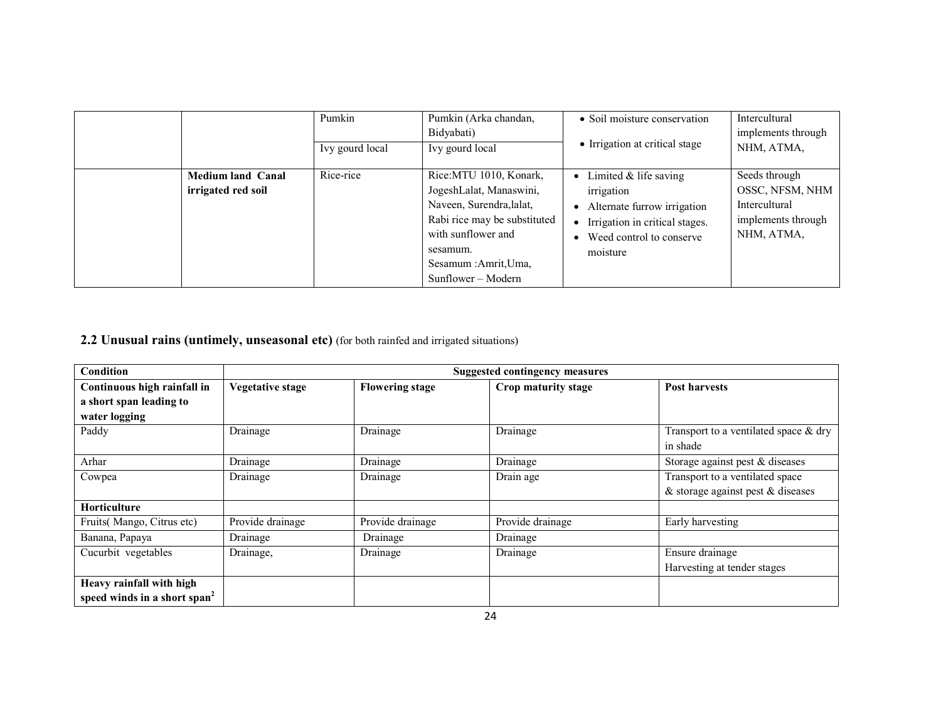|                                                | Pumkin<br>Ivy gourd local | Pumkin (Arka chandan,<br>Bidyabati)<br>Ivy gourd local                                                                                                                                         | • Soil moisture conservation<br>• Irrigation at critical stage                                                                                                                          | Intercultural<br>implements through<br>NHM, ATMA,                                     |
|------------------------------------------------|---------------------------|------------------------------------------------------------------------------------------------------------------------------------------------------------------------------------------------|-----------------------------------------------------------------------------------------------------------------------------------------------------------------------------------------|---------------------------------------------------------------------------------------|
| <b>Medium land Canal</b><br>irrigated red soil | Rice-rice                 | Rice:MTU 1010, Konark,<br>JogeshLalat, Manaswini,<br>Naveen, Surendra, lalat,<br>Rabi rice may be substituted<br>with sunflower and<br>sesamum.<br>Sesamum : Amrit, Uma,<br>Sunflower – Modern | Limited $&$ life saving<br>$\bullet$<br>irrigation<br>Alternate furrow irrigation<br>$\bullet$<br>• Irrigation in critical stages.<br>Weed control to conserve<br>$\bullet$<br>moisture | Seeds through<br>OSSC, NFSM, NHM<br>Intercultural<br>implements through<br>NHM, ATMA, |

**2.2 Unusual rains (untimely, unseasonal etc)** (for both rainfed and irrigated situations)

| Condition                                | <b>Suggested contingency measures</b> |                        |                     |                                          |  |
|------------------------------------------|---------------------------------------|------------------------|---------------------|------------------------------------------|--|
| Continuous high rainfall in              | <b>Vegetative stage</b>               | <b>Flowering stage</b> | Crop maturity stage | <b>Post harvests</b>                     |  |
| a short span leading to                  |                                       |                        |                     |                                          |  |
| water logging                            |                                       |                        |                     |                                          |  |
| Paddy                                    | Drainage                              | Drainage               | Drainage            | Transport to a ventilated space $\&$ dry |  |
|                                          |                                       |                        |                     | in shade                                 |  |
| Arhar                                    | Drainage                              | Drainage               | Drainage            | Storage against pest & diseases          |  |
| Cowpea                                   | Drainage                              | Drainage               | Drain age           | Transport to a ventilated space          |  |
|                                          |                                       |                        |                     | $\&$ storage against pest $\&$ diseases  |  |
| <b>Horticulture</b>                      |                                       |                        |                     |                                          |  |
| Fruits(Mango, Citrus etc)                | Provide drainage                      | Provide drainage       | Provide drainage    | Early harvesting                         |  |
| Banana, Papaya                           | Drainage                              | Drainage               | Drainage            |                                          |  |
| Cucurbit vegetables                      | Drainage,                             | Drainage               | Drainage            | Ensure drainage                          |  |
|                                          |                                       |                        |                     | Harvesting at tender stages              |  |
| Heavy rainfall with high                 |                                       |                        |                     |                                          |  |
| speed winds in a short span <sup>2</sup> |                                       |                        |                     |                                          |  |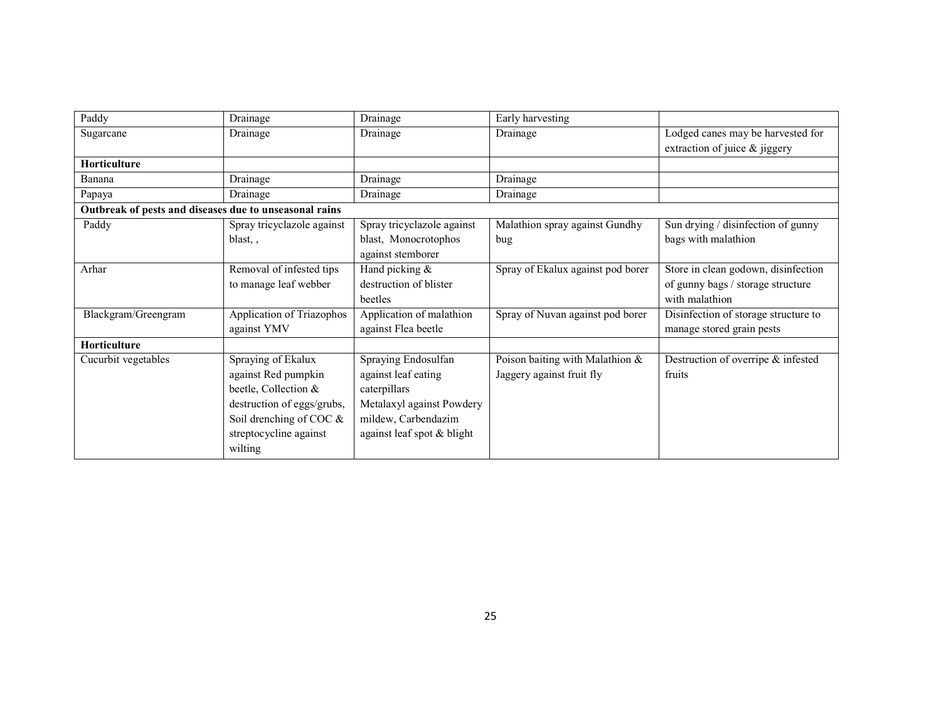| Paddy                                                  | Drainage                   | Drainage                   | Early harvesting                  |                                      |
|--------------------------------------------------------|----------------------------|----------------------------|-----------------------------------|--------------------------------------|
| Sugarcane                                              | Drainage                   | Drainage                   | Drainage                          | Lodged canes may be harvested for    |
|                                                        |                            |                            |                                   | extraction of juice & jiggery        |
| <b>Horticulture</b>                                    |                            |                            |                                   |                                      |
| Banana                                                 | Drainage                   | Drainage                   | Drainage                          |                                      |
| Papaya                                                 | Drainage                   | Drainage                   | Drainage                          |                                      |
| Outbreak of pests and diseases due to unseasonal rains |                            |                            |                                   |                                      |
| Paddy                                                  | Spray tricyclazole against | Spray tricyclazole against | Malathion spray against Gundhy    | Sun drying / disinfection of gunny   |
|                                                        | blast,,                    | blast, Monocrotophos       | bug.                              | bags with malathion                  |
|                                                        |                            | against stemborer          |                                   |                                      |
| Arhar                                                  | Removal of infested tips   | Hand picking &             | Spray of Ekalux against pod borer | Store in clean godown, disinfection  |
|                                                        | to manage leaf webber      | destruction of blister     |                                   | of gunny bags / storage structure    |
|                                                        |                            | beetles                    |                                   | with malathion                       |
| Blackgram/Greengram                                    | Application of Triazophos  | Application of malathion   | Spray of Nuvan against pod borer  | Disinfection of storage structure to |
|                                                        | against YMV                | against Flea beetle        |                                   | manage stored grain pests            |
| <b>Horticulture</b>                                    |                            |                            |                                   |                                      |
| Cucurbit vegetables                                    | Spraying of Ekalux         | Spraying Endosulfan        | Poison baiting with Malathion &   | Destruction of overripe & infested   |
|                                                        | against Red pumpkin        | against leaf eating        | Jaggery against fruit fly         | fruits                               |
|                                                        | beetle, Collection &       | caterpillars               |                                   |                                      |
|                                                        | destruction of eggs/grubs, | Metalaxyl against Powdery  |                                   |                                      |
|                                                        | Soil drenching of COC $\&$ | mildew, Carbendazim        |                                   |                                      |
|                                                        | streptocycline against     | against leaf spot & blight |                                   |                                      |
|                                                        | wilting                    |                            |                                   |                                      |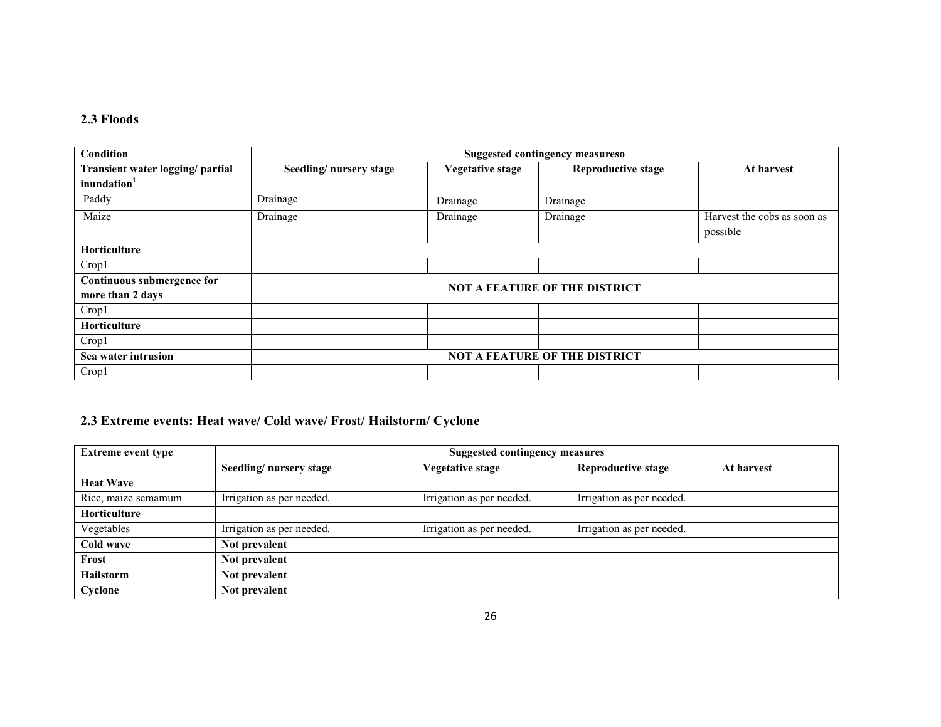## 2.3 Floods

| Condition                        | <b>Suggested contingency measureso</b> |                         |                                      |                             |
|----------------------------------|----------------------------------------|-------------------------|--------------------------------------|-----------------------------|
| Transient water logging/ partial | Seedling/nursery stage                 | <b>Vegetative stage</b> | <b>Reproductive stage</b>            | At harvest                  |
| inundation <sup>1</sup>          |                                        |                         |                                      |                             |
| Paddy                            | $\overline{D}$ rainage                 | Drainage                | Drainage                             |                             |
| Maize                            | Drainage                               | Drainage                | Drainage                             | Harvest the cobs as soon as |
|                                  |                                        |                         |                                      | possible                    |
| Horticulture                     |                                        |                         |                                      |                             |
| Crop1                            |                                        |                         |                                      |                             |
| Continuous submergence for       |                                        |                         | <b>NOT A FEATURE OF THE DISTRICT</b> |                             |
| more than 2 days                 |                                        |                         |                                      |                             |
| Crop1                            |                                        |                         |                                      |                             |
| <b>Horticulture</b>              |                                        |                         |                                      |                             |
| Crop1                            |                                        |                         |                                      |                             |
| Sea water intrusion              |                                        |                         | <b>NOT A FEATURE OF THE DISTRICT</b> |                             |
| Crop1                            |                                        |                         |                                      |                             |

## 2.3 Extreme events: Heat wave/ Cold wave/ Frost/ Hailstorm/ Cyclone

| <b>Extreme event type</b> | Suggested contingency measures |                           |                           |            |  |
|---------------------------|--------------------------------|---------------------------|---------------------------|------------|--|
|                           | Seedling/nursery stage         | Vegetative stage          | <b>Reproductive stage</b> | At harvest |  |
| <b>Heat Wave</b>          |                                |                           |                           |            |  |
| Rice, maize semamum       | Irrigation as per needed.      | Irrigation as per needed. | Irrigation as per needed. |            |  |
| <b>Horticulture</b>       |                                |                           |                           |            |  |
| Vegetables                | Irrigation as per needed.      | Irrigation as per needed. | Irrigation as per needed. |            |  |
| Cold wave                 | Not prevalent                  |                           |                           |            |  |
| Frost                     | Not prevalent                  |                           |                           |            |  |
| <b>Hailstorm</b>          | Not prevalent                  |                           |                           |            |  |
| Cyclone                   | Not prevalent                  |                           |                           |            |  |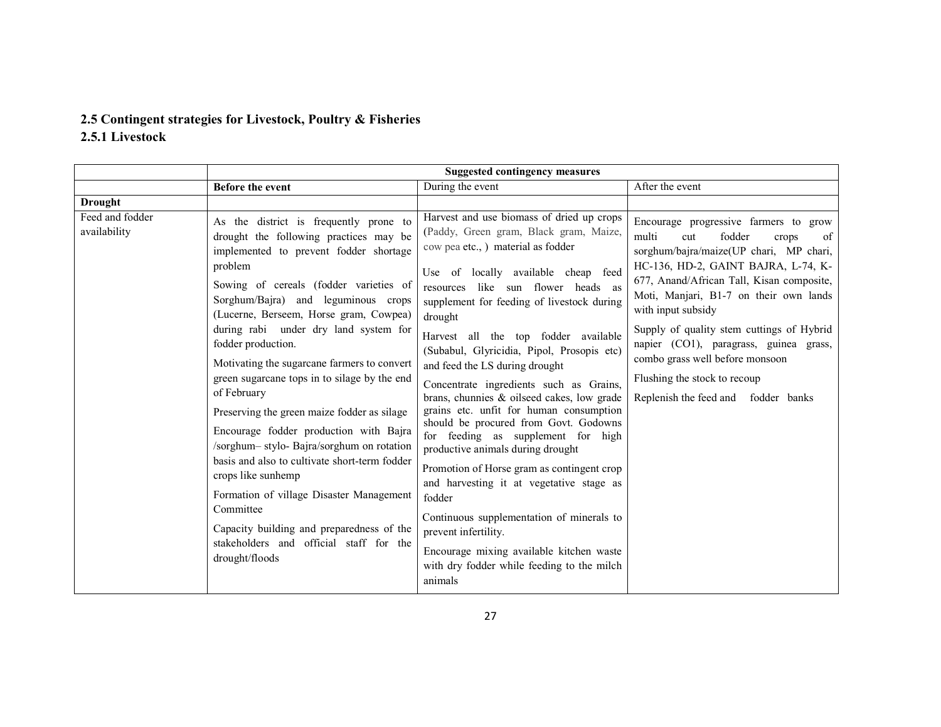# 2.5 Contingent strategies for Livestock, Poultry & Fisheries

2.5.1 Livestock

|                                 | <b>Suggested contingency measures</b>                                                                                                                                                                                                                                                                                                                                                                                                                                                                                                                                                                                                                                                                                                                                                                                        |                                                                                                                                                                                                                                                                                                                                                                                                                                                                                                                                                                                                                                                                                                                                                                                                                                                                                                                               |                                                                                                                                                                                                                                                                                                                                                                                                                                                                                |  |
|---------------------------------|------------------------------------------------------------------------------------------------------------------------------------------------------------------------------------------------------------------------------------------------------------------------------------------------------------------------------------------------------------------------------------------------------------------------------------------------------------------------------------------------------------------------------------------------------------------------------------------------------------------------------------------------------------------------------------------------------------------------------------------------------------------------------------------------------------------------------|-------------------------------------------------------------------------------------------------------------------------------------------------------------------------------------------------------------------------------------------------------------------------------------------------------------------------------------------------------------------------------------------------------------------------------------------------------------------------------------------------------------------------------------------------------------------------------------------------------------------------------------------------------------------------------------------------------------------------------------------------------------------------------------------------------------------------------------------------------------------------------------------------------------------------------|--------------------------------------------------------------------------------------------------------------------------------------------------------------------------------------------------------------------------------------------------------------------------------------------------------------------------------------------------------------------------------------------------------------------------------------------------------------------------------|--|
|                                 | Before the event                                                                                                                                                                                                                                                                                                                                                                                                                                                                                                                                                                                                                                                                                                                                                                                                             | During the event                                                                                                                                                                                                                                                                                                                                                                                                                                                                                                                                                                                                                                                                                                                                                                                                                                                                                                              | After the event                                                                                                                                                                                                                                                                                                                                                                                                                                                                |  |
| <b>Drought</b>                  |                                                                                                                                                                                                                                                                                                                                                                                                                                                                                                                                                                                                                                                                                                                                                                                                                              |                                                                                                                                                                                                                                                                                                                                                                                                                                                                                                                                                                                                                                                                                                                                                                                                                                                                                                                               |                                                                                                                                                                                                                                                                                                                                                                                                                                                                                |  |
| Feed and fodder<br>availability | As the district is frequently prone to<br>drought the following practices may be<br>implemented to prevent fodder shortage<br>problem<br>Sowing of cereals (fodder varieties of<br>Sorghum/Bajra) and leguminous crops<br>(Lucerne, Berseem, Horse gram, Cowpea)<br>during rabi under dry land system for<br>fodder production.<br>Motivating the sugarcane farmers to convert<br>green sugarcane tops in to silage by the end<br>of February<br>Preserving the green maize fodder as silage<br>Encourage fodder production with Bajra<br>/sorghum-stylo-Bajra/sorghum on rotation<br>basis and also to cultivate short-term fodder<br>crops like sunhemp<br>Formation of village Disaster Management<br>Committee<br>Capacity building and preparedness of the<br>stakeholders and official staff for the<br>drought/floods | Harvest and use biomass of dried up crops<br>(Paddy, Green gram, Black gram, Maize,<br>cow pea etc., ) material as fodder<br>Use of locally available cheap feed<br>resources like sun flower heads as<br>supplement for feeding of livestock during<br>drought<br>Harvest all the top fodder available<br>(Subabul, Glyricidia, Pipol, Prosopis etc)<br>and feed the LS during drought<br>Concentrate ingredients such as Grains,<br>brans, chunnies & oilseed cakes, low grade<br>grains etc. unfit for human consumption<br>should be procured from Govt. Godowns<br>for feeding as supplement for high<br>productive animals during drought<br>Promotion of Horse gram as contingent crop<br>and harvesting it at vegetative stage as<br>fodder<br>Continuous supplementation of minerals to<br>prevent infertility.<br>Encourage mixing available kitchen waste<br>with dry fodder while feeding to the milch<br>animals | Encourage progressive farmers to grow<br>multi<br>fodder<br>of<br>cut<br>crops<br>sorghum/bajra/maize(UP chari, MP chari,<br>HC-136, HD-2, GAINT BAJRA, L-74, K-<br>677, Anand/African Tall, Kisan composite,<br>Moti, Manjari, B1-7 on their own lands<br>with input subsidy<br>Supply of quality stem cuttings of Hybrid<br>napier (CO1), paragrass, guinea grass,<br>combo grass well before monsoon<br>Flushing the stock to recoup<br>Replenish the feed and fodder banks |  |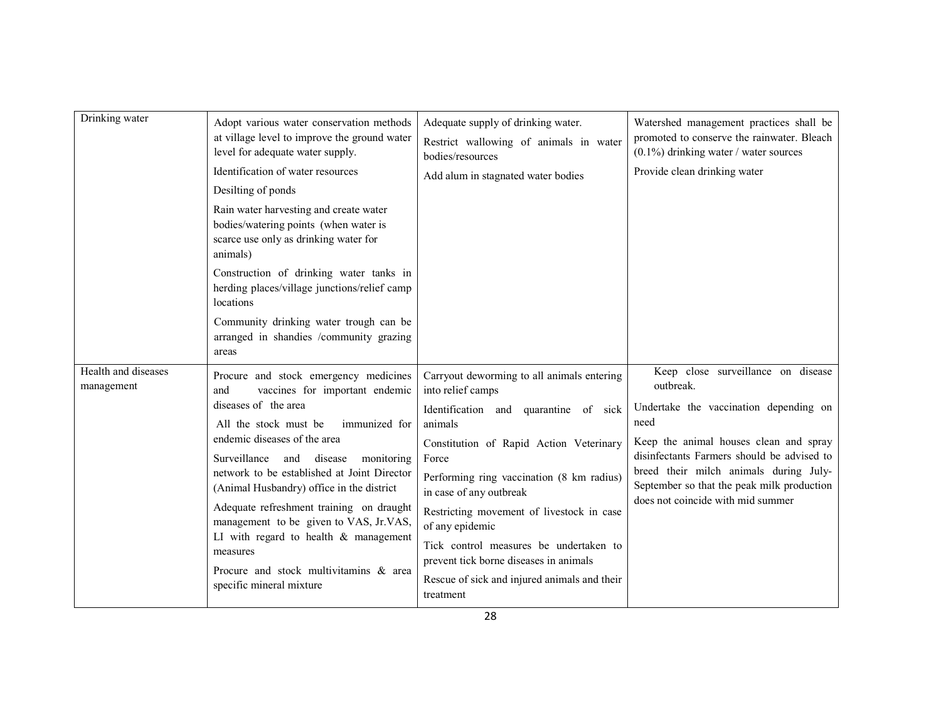| Drinking water                    | Adopt various water conservation methods<br>at village level to improve the ground water<br>level for adequate water supply.                                                                                                                                                                                               | Adequate supply of drinking water.<br>Restrict wallowing of animals in water<br>bodies/resources             | Watershed management practices shall be<br>promoted to conserve the rainwater. Bleach<br>$(0.1\%)$ drinking water / water sources |
|-----------------------------------|----------------------------------------------------------------------------------------------------------------------------------------------------------------------------------------------------------------------------------------------------------------------------------------------------------------------------|--------------------------------------------------------------------------------------------------------------|-----------------------------------------------------------------------------------------------------------------------------------|
|                                   | Identification of water resources                                                                                                                                                                                                                                                                                          | Add alum in stagnated water bodies                                                                           | Provide clean drinking water                                                                                                      |
|                                   | Desilting of ponds                                                                                                                                                                                                                                                                                                         |                                                                                                              |                                                                                                                                   |
|                                   | Rain water harvesting and create water<br>bodies/watering points (when water is<br>scarce use only as drinking water for<br>animals)                                                                                                                                                                                       |                                                                                                              |                                                                                                                                   |
|                                   | Construction of drinking water tanks in<br>herding places/village junctions/relief camp<br>locations                                                                                                                                                                                                                       |                                                                                                              |                                                                                                                                   |
|                                   | Community drinking water trough can be<br>arranged in shandies /community grazing<br>areas                                                                                                                                                                                                                                 |                                                                                                              |                                                                                                                                   |
| Health and diseases<br>management | Procure and stock emergency medicines<br>vaccines for important endemic<br>and                                                                                                                                                                                                                                             | Carryout deworming to all animals entering<br>into relief camps                                              | Keep close surveillance on disease<br>outbreak.                                                                                   |
|                                   | diseases of the area<br>All the stock must be<br>immunized for<br>endemic diseases of the area<br>Surveillance and disease<br>monitoring<br>network to be established at Joint Director<br>(Animal Husbandry) office in the district<br>Adequate refreshment training on draught<br>management to be given to VAS, Jr.VAS, | Identification and quarantine of sick<br>need<br>animals<br>Constitution of Rapid Action Veterinary<br>Force | Undertake the vaccination depending on                                                                                            |
|                                   |                                                                                                                                                                                                                                                                                                                            |                                                                                                              | Keep the animal houses clean and spray<br>disinfectants Farmers should be advised to                                              |
|                                   |                                                                                                                                                                                                                                                                                                                            | Performing ring vaccination (8 km radius)<br>in case of any outbreak                                         | breed their milch animals during July-<br>September so that the peak milk production<br>does not coincide with mid summer         |
|                                   |                                                                                                                                                                                                                                                                                                                            | Restricting movement of livestock in case<br>of any epidemic                                                 |                                                                                                                                   |
|                                   | LI with regard to health $&$ management<br>measures                                                                                                                                                                                                                                                                        | Tick control measures be undertaken to<br>prevent tick borne diseases in animals                             |                                                                                                                                   |
|                                   | Procure and stock multivitamins & area<br>specific mineral mixture                                                                                                                                                                                                                                                         | Rescue of sick and injured animals and their<br>treatment                                                    |                                                                                                                                   |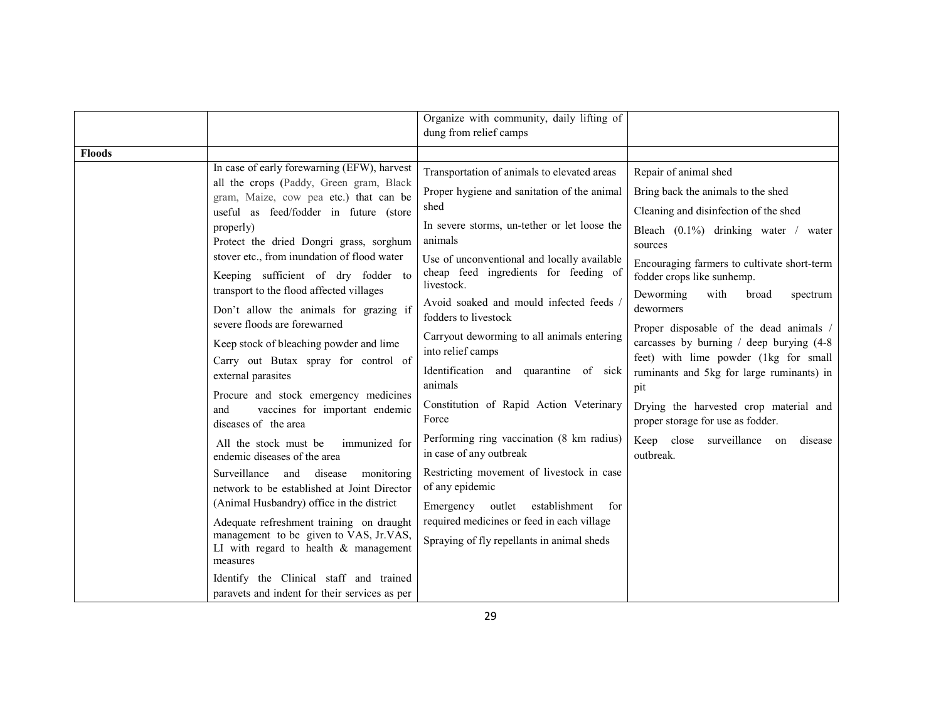|                                                                                    |                                                                                                        | Organize with community, daily lifting of                                                          |                                                                                           |
|------------------------------------------------------------------------------------|--------------------------------------------------------------------------------------------------------|----------------------------------------------------------------------------------------------------|-------------------------------------------------------------------------------------------|
|                                                                                    |                                                                                                        | dung from relief camps                                                                             |                                                                                           |
| <b>Floods</b>                                                                      |                                                                                                        |                                                                                                    |                                                                                           |
|                                                                                    | In case of early forewarning (EFW), harvest                                                            | Transportation of animals to elevated areas                                                        | Repair of animal shed                                                                     |
|                                                                                    | all the crops (Paddy, Green gram, Black<br>gram, Maize, cow pea etc.) that can be                      | Proper hygiene and sanitation of the animal                                                        | Bring back the animals to the shed                                                        |
|                                                                                    | useful as feed/fodder in future (store                                                                 | shed                                                                                               | Cleaning and disinfection of the shed                                                     |
|                                                                                    | properly)<br>Protect the dried Dongri grass, sorghum                                                   | In severe storms, un-tether or let loose the<br>animals                                            | Bleach (0.1%) drinking water / water<br>sources                                           |
|                                                                                    | stover etc., from inundation of flood water<br>Keeping sufficient of dry fodder to                     | Use of unconventional and locally available<br>cheap feed ingredients for feeding of<br>livestock. | Encouraging farmers to cultivate short-term<br>fodder crops like sunhemp.                 |
| transport to the flood affected villages<br>Don't allow the animals for grazing if | Avoid soaked and mould infected feeds /<br>fodders to livestock                                        | Deworming<br>with<br>broad<br>spectrum<br>dewormers                                                |                                                                                           |
|                                                                                    | severe floods are forewarned<br>Keep stock of bleaching powder and lime                                | Carryout deworming to all animals entering<br>into relief camps                                    | Proper disposable of the dead animals /<br>carcasses by burning $/$ deep burying $(4-8)$  |
|                                                                                    | Carry out Butax spray for control of<br>external parasites                                             | Identification and quarantine of sick<br>animals                                                   | feet) with lime powder (1kg for small<br>ruminants and 5kg for large ruminants) in<br>pit |
|                                                                                    | Procure and stock emergency medicines<br>vaccines for important endemic<br>and<br>diseases of the area | Constitution of Rapid Action Veterinary<br>Force                                                   | Drying the harvested crop material and<br>proper storage for use as fodder.               |
|                                                                                    | All the stock must be<br>immunized for<br>endemic diseases of the area                                 | Performing ring vaccination (8 km radius)<br>in case of any outbreak                               | Keep close surveillance<br>on<br>disease<br>outbreak.                                     |
|                                                                                    | Surveillance and disease<br>monitoring<br>network to be established at Joint Director                  | Restricting movement of livestock in case<br>of any epidemic                                       |                                                                                           |
|                                                                                    | (Animal Husbandry) office in the district                                                              | establishment<br>Emergency outlet<br>for                                                           |                                                                                           |
|                                                                                    | Adequate refreshment training on draught<br>management to be given to VAS, Jr.VAS,                     | required medicines or feed in each village<br>Spraying of fly repellants in animal sheds           |                                                                                           |
|                                                                                    | LI with regard to health $&$ management<br>measures                                                    |                                                                                                    |                                                                                           |
|                                                                                    | Identify the Clinical staff and trained<br>paravets and indent for their services as per               |                                                                                                    |                                                                                           |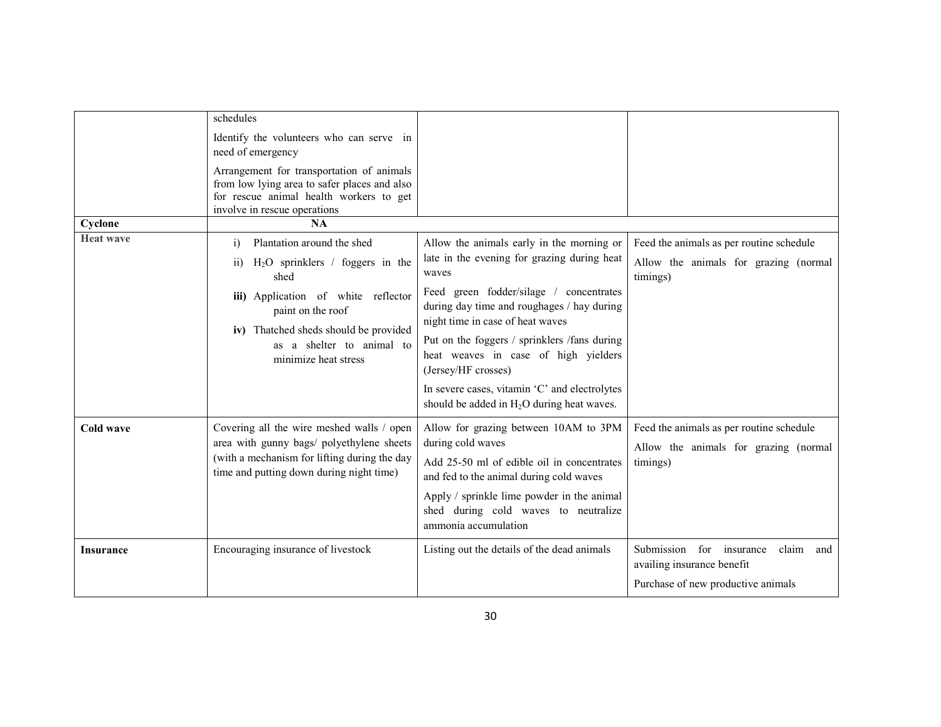|                  | schedules                                                                                                                                                                                                                                                   |                                                                                                                                                                                                                                                                                                                                                                                                                                                |                                                                                                              |
|------------------|-------------------------------------------------------------------------------------------------------------------------------------------------------------------------------------------------------------------------------------------------------------|------------------------------------------------------------------------------------------------------------------------------------------------------------------------------------------------------------------------------------------------------------------------------------------------------------------------------------------------------------------------------------------------------------------------------------------------|--------------------------------------------------------------------------------------------------------------|
|                  | Identify the volunteers who can serve in<br>need of emergency                                                                                                                                                                                               |                                                                                                                                                                                                                                                                                                                                                                                                                                                |                                                                                                              |
|                  | Arrangement for transportation of animals<br>from low lying area to safer places and also<br>for rescue animal health workers to get<br>involve in rescue operations                                                                                        |                                                                                                                                                                                                                                                                                                                                                                                                                                                |                                                                                                              |
| Cyclone          | NA                                                                                                                                                                                                                                                          |                                                                                                                                                                                                                                                                                                                                                                                                                                                |                                                                                                              |
| <b>Heat wave</b> | Plantation around the shed<br>i)<br>$H_2O$ sprinklers / foggers in the<br>$\overline{ii}$<br>shed<br>iii) Application of white reflector<br>paint on the roof<br>iv) Thatched sheds should be provided<br>as a shelter to animal to<br>minimize heat stress | Allow the animals early in the morning or<br>late in the evening for grazing during heat<br>waves<br>Feed green fodder/silage / concentrates<br>during day time and roughages / hay during<br>night time in case of heat waves<br>Put on the foggers / sprinklers /fans during<br>heat weaves in case of high yielders<br>(Jersey/HF crosses)<br>In severe cases, vitamin 'C' and electrolytes<br>should be added in $H_2O$ during heat waves. | Feed the animals as per routine schedule<br>Allow the animals for grazing (normal<br>timings)                |
| Cold wave        | Covering all the wire meshed walls / open<br>area with gunny bags/ polyethylene sheets<br>(with a mechanism for lifting during the day<br>time and putting down during night time)                                                                          | Allow for grazing between 10AM to 3PM<br>during cold waves<br>Add 25-50 ml of edible oil in concentrates<br>and fed to the animal during cold waves<br>Apply / sprinkle lime powder in the animal<br>shed during cold waves to neutralize<br>ammonia accumulation                                                                                                                                                                              | Feed the animals as per routine schedule<br>Allow the animals for grazing (normal<br>timings)                |
| <b>Insurance</b> | Encouraging insurance of livestock                                                                                                                                                                                                                          | Listing out the details of the dead animals                                                                                                                                                                                                                                                                                                                                                                                                    | Submission for insurance<br>claim<br>and<br>availing insurance benefit<br>Purchase of new productive animals |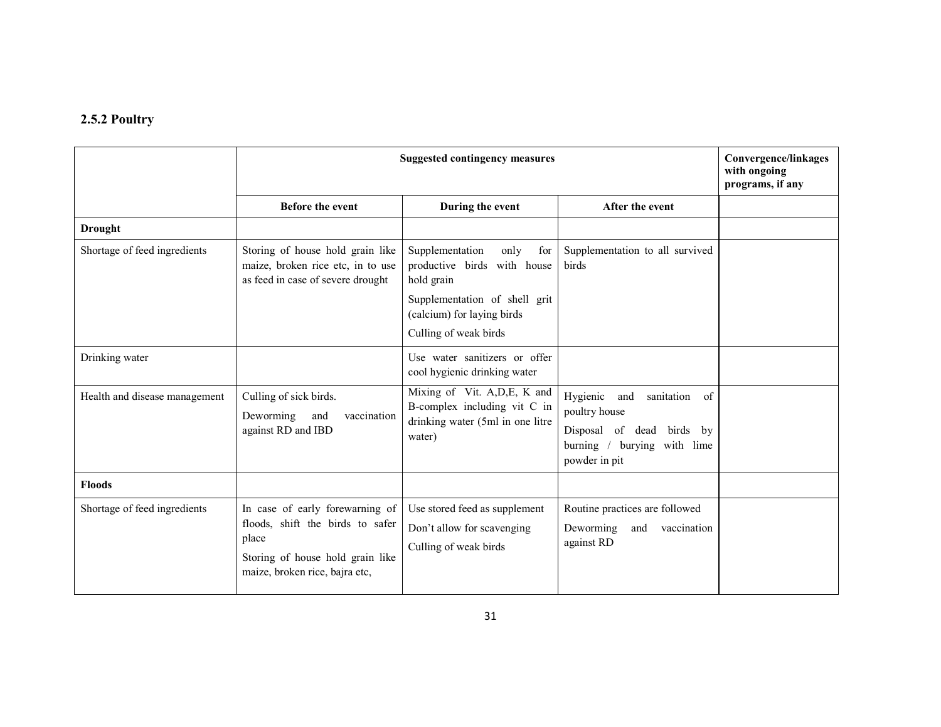## 2.5.2 Poultry

|                               | <b>Suggested contingency measures</b>                                                                                                              |                                                                                                             |                                                                                                                                                      | <b>Convergence/linkages</b><br>with ongoing<br>programs, if any |
|-------------------------------|----------------------------------------------------------------------------------------------------------------------------------------------------|-------------------------------------------------------------------------------------------------------------|------------------------------------------------------------------------------------------------------------------------------------------------------|-----------------------------------------------------------------|
|                               | <b>Before the event</b>                                                                                                                            | During the event                                                                                            | After the event                                                                                                                                      |                                                                 |
| <b>Drought</b>                |                                                                                                                                                    |                                                                                                             |                                                                                                                                                      |                                                                 |
| Shortage of feed ingredients  | Storing of house hold grain like<br>maize, broken rice etc, in to use<br>as feed in case of severe drought                                         | Supplementation<br>only<br>for<br>productive birds with house<br>hold grain                                 | Supplementation to all survived<br>birds                                                                                                             |                                                                 |
|                               |                                                                                                                                                    | Supplementation of shell grit<br>(calcium) for laying birds<br>Culling of weak birds                        |                                                                                                                                                      |                                                                 |
| Drinking water                |                                                                                                                                                    | Use water sanitizers or offer<br>cool hygienic drinking water                                               |                                                                                                                                                      |                                                                 |
| Health and disease management | Culling of sick birds.<br>Deworming<br>and<br>vaccination<br>against RD and IBD                                                                    | Mixing of Vit. A, D, E, K and<br>B-complex including vit C in<br>drinking water (5ml in one litre<br>water) | Hygienic<br>and<br>sanitation<br><sub>of</sub><br>poultry house<br>Disposal of dead<br>birds by<br>burying with lime<br>burning $/$<br>powder in pit |                                                                 |
| <b>Floods</b>                 |                                                                                                                                                    |                                                                                                             |                                                                                                                                                      |                                                                 |
| Shortage of feed ingredients  | In case of early forewarning of<br>floods, shift the birds to safer<br>place<br>Storing of house hold grain like<br>maize, broken rice, bajra etc, | Use stored feed as supplement<br>Don't allow for scavenging<br>Culling of weak birds                        | Routine practices are followed<br>Deworming<br>and vaccination<br>against RD                                                                         |                                                                 |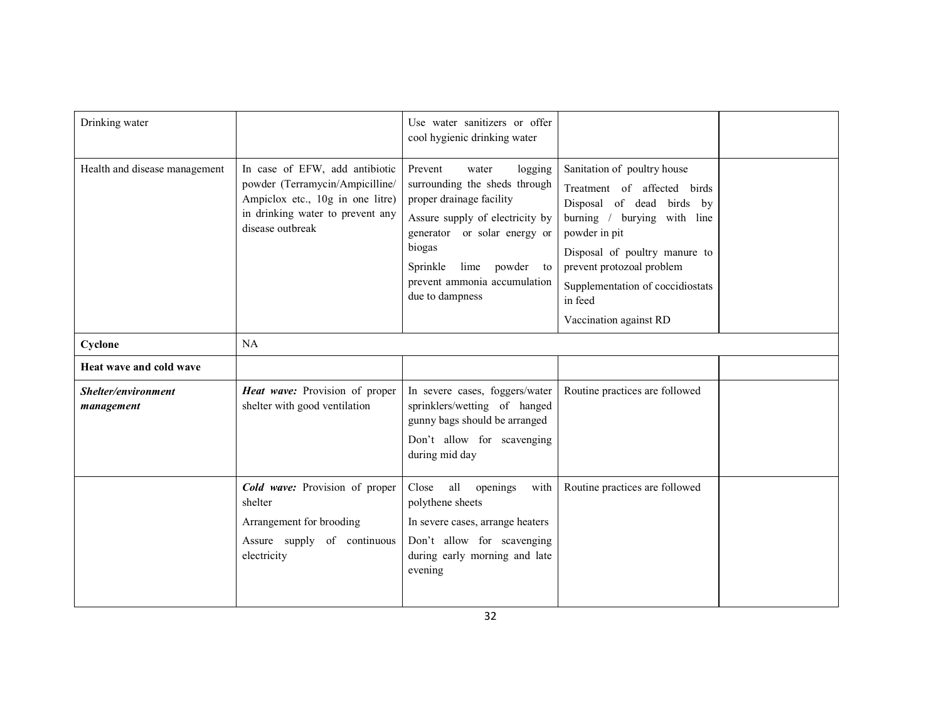| Drinking water                    |                                                                                                                                                               | Use water sanitizers or offer<br>cool hygienic drinking water                                                                                                                                                                                             |                                                                                                                                                                                                                                                                                |  |
|-----------------------------------|---------------------------------------------------------------------------------------------------------------------------------------------------------------|-----------------------------------------------------------------------------------------------------------------------------------------------------------------------------------------------------------------------------------------------------------|--------------------------------------------------------------------------------------------------------------------------------------------------------------------------------------------------------------------------------------------------------------------------------|--|
| Health and disease management     | In case of EFW, add antibiotic<br>powder (Terramycin/Ampicilline/<br>Ampiclox etc., 10g in one litre)<br>in drinking water to prevent any<br>disease outbreak | Prevent<br>logging<br>water<br>surrounding the sheds through<br>proper drainage facility<br>Assure supply of electricity by<br>generator or solar energy or<br>biogas<br>Sprinkle<br>powder to<br>lime<br>prevent ammonia accumulation<br>due to dampness | Sanitation of poultry house<br>Treatment of affected birds<br>Disposal of dead birds by<br>burning / burying with line<br>powder in pit<br>Disposal of poultry manure to<br>prevent protozoal problem<br>Supplementation of coccidiostats<br>in feed<br>Vaccination against RD |  |
| Cyclone                           | NA                                                                                                                                                            |                                                                                                                                                                                                                                                           |                                                                                                                                                                                                                                                                                |  |
| Heat wave and cold wave           |                                                                                                                                                               |                                                                                                                                                                                                                                                           |                                                                                                                                                                                                                                                                                |  |
| Shelter/environment<br>management | Heat wave: Provision of proper<br>shelter with good ventilation                                                                                               | In severe cases, foggers/water<br>sprinklers/wetting of hanged<br>gunny bags should be arranged<br>Don't allow for scavenging<br>during mid day                                                                                                           | Routine practices are followed                                                                                                                                                                                                                                                 |  |
|                                   | Cold wave: Provision of proper<br>shelter<br>Arrangement for brooding<br>Assure supply of continuous<br>electricity                                           | all<br>openings<br>with<br>Close<br>polythene sheets<br>In severe cases, arrange heaters<br>Don't allow for scavenging<br>during early morning and late<br>evening                                                                                        | Routine practices are followed                                                                                                                                                                                                                                                 |  |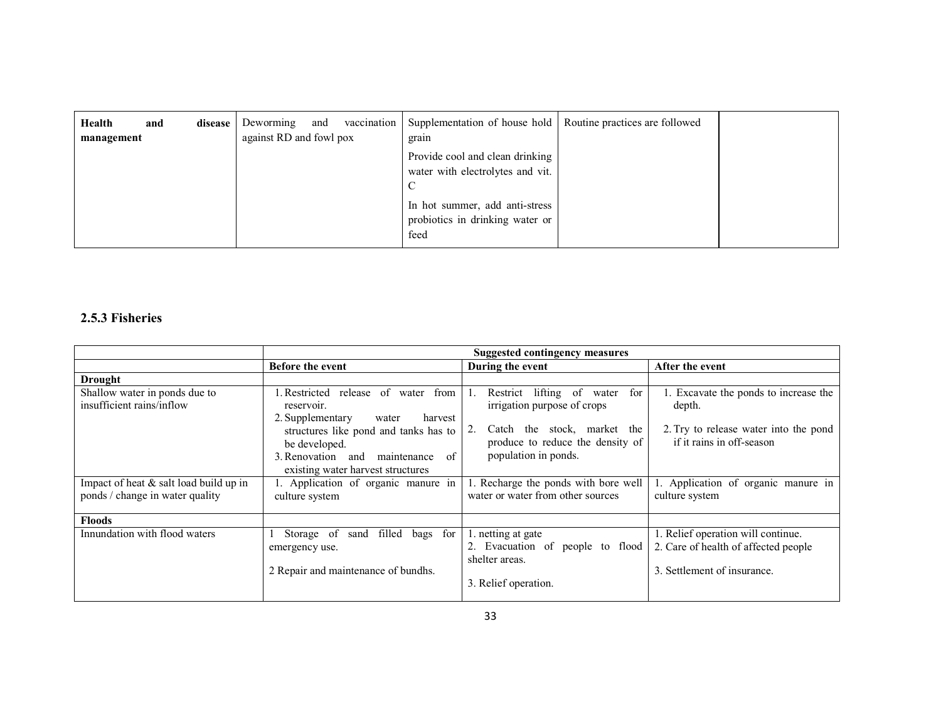| Health<br>management | and | disease | Deworming<br>and<br>against RD and fowl pox | vaccination | Supplementation of house hold   Routine practices are followed<br>grain   |  |
|----------------------|-----|---------|---------------------------------------------|-------------|---------------------------------------------------------------------------|--|
|                      |     |         |                                             |             | Provide cool and clean drinking<br>water with electrolytes and vit.<br>◡  |  |
|                      |     |         |                                             |             | In hot summer, add anti-stress<br>probiotics in drinking water or<br>feed |  |

## 2.5.3 Fisheries

|                                                                           | <b>Suggested contingency measures</b>                                                                                                                                                                                              |                                                                                                                                                                              |                                                                                                                       |  |  |
|---------------------------------------------------------------------------|------------------------------------------------------------------------------------------------------------------------------------------------------------------------------------------------------------------------------------|------------------------------------------------------------------------------------------------------------------------------------------------------------------------------|-----------------------------------------------------------------------------------------------------------------------|--|--|
|                                                                           | <b>Before the event</b>                                                                                                                                                                                                            | During the event                                                                                                                                                             | After the event                                                                                                       |  |  |
| <b>Drought</b>                                                            |                                                                                                                                                                                                                                    |                                                                                                                                                                              |                                                                                                                       |  |  |
| Shallow water in ponds due to<br>insufficient rains/inflow                | Restricted release of water from<br>reservoir.<br>2. Supplementary<br>harvest<br>water<br>structures like pond and tanks has to<br>be developed.<br>3. Renovation<br>maintenance<br>of<br>and<br>existing water harvest structures | lifting of<br>Restrict<br>for<br>water<br>irrigation purpose of crops<br>2.<br>stock, market the<br>the<br>Catch<br>produce to reduce the density of<br>population in ponds. | 1. Excavate the ponds to increase the<br>depth.<br>2. Try to release water into the pond<br>if it rains in off-season |  |  |
| Impact of heat & salt load build up in<br>ponds / change in water quality | 1. Application of organic manure in<br>culture system                                                                                                                                                                              | 1. Recharge the ponds with bore well<br>water or water from other sources                                                                                                    | 1. Application of organic manure in<br>culture system                                                                 |  |  |
| <b>Floods</b>                                                             |                                                                                                                                                                                                                                    |                                                                                                                                                                              |                                                                                                                       |  |  |
| Innundation with flood waters                                             | Storage of<br>for<br>filled<br>bags<br>sand<br>emergency use.<br>2 Repair and maintenance of bundhs.                                                                                                                               | 1. netting at gate<br>2. Evacuation of people to flood<br>shelter areas.<br>3. Relief operation.                                                                             | 1. Relief operation will continue.<br>2. Care of health of affected people<br>3. Settlement of insurance.             |  |  |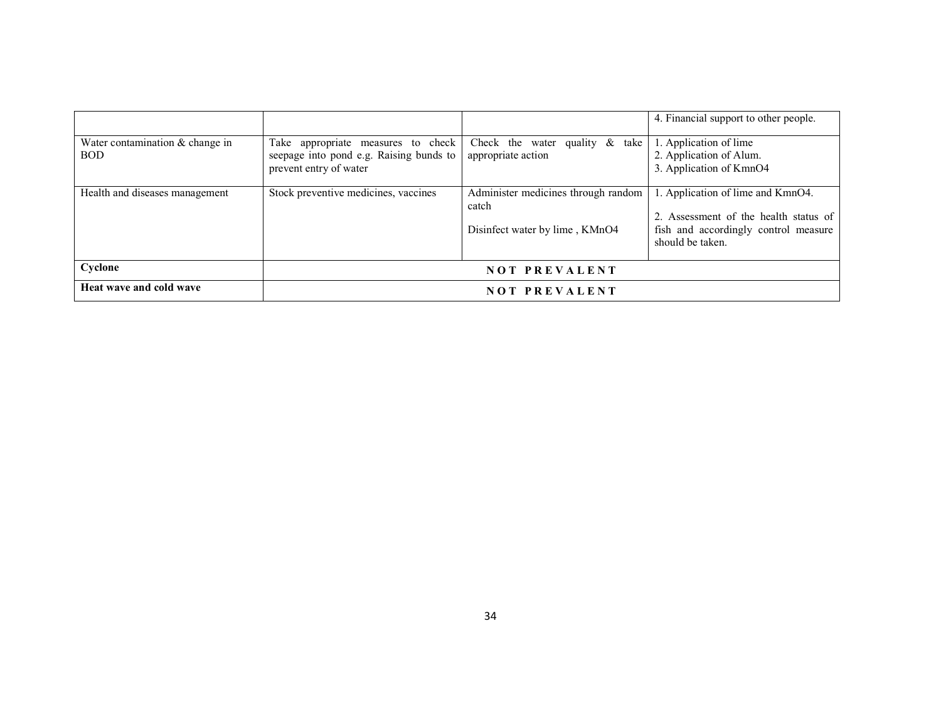| Water contamination $&$ change in<br><b>BOD</b> | Take appropriate measures to check<br>seepage into pond e.g. Raising bunds to<br>prevent entry of water | take<br>Check the water quality $\&$<br>appropriate action                     | 4. Financial support to other people.<br>1. Application of lime<br>2. Application of Alum.<br>3. Application of KmnO4                  |
|-------------------------------------------------|---------------------------------------------------------------------------------------------------------|--------------------------------------------------------------------------------|----------------------------------------------------------------------------------------------------------------------------------------|
| Health and diseases management                  | Stock preventive medicines, vaccines                                                                    | Administer medicines through random<br>catch<br>Disinfect water by lime, KMnO4 | 1. Application of lime and KmnO4.<br>2. Assessment of the health status of<br>fish and accordingly control measure<br>should be taken. |
| Cyclone                                         | <b>NOT PREVALENT</b>                                                                                    |                                                                                |                                                                                                                                        |
| Heat wave and cold wave                         | <b>NOT PREVALENT</b>                                                                                    |                                                                                |                                                                                                                                        |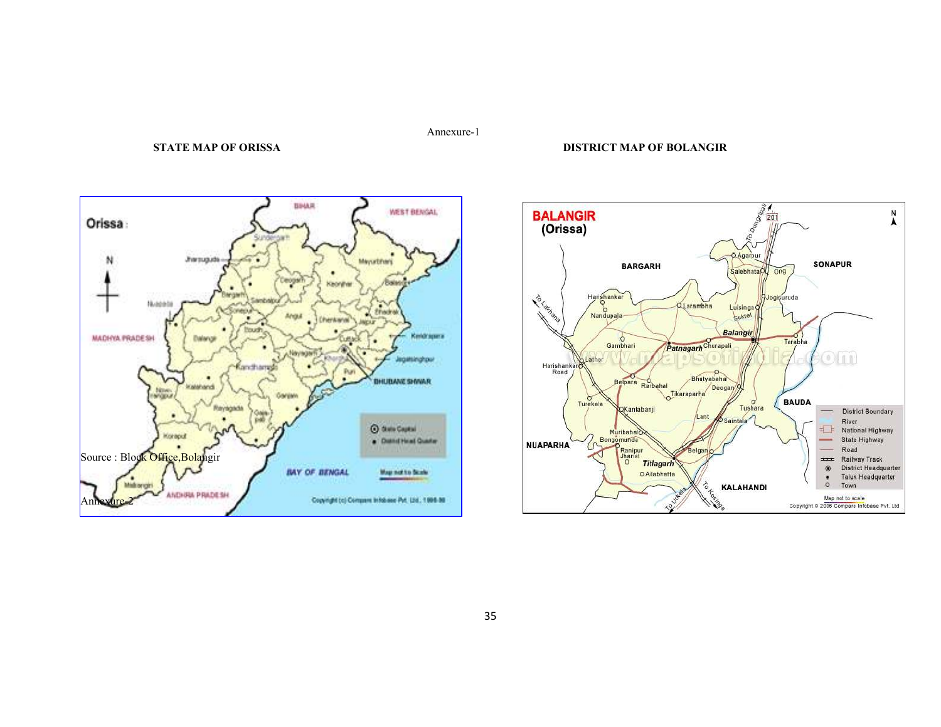#### Annexure-1

#### STATE MAP OF ORISSA DISTRICT MAP OF BOLANGIR



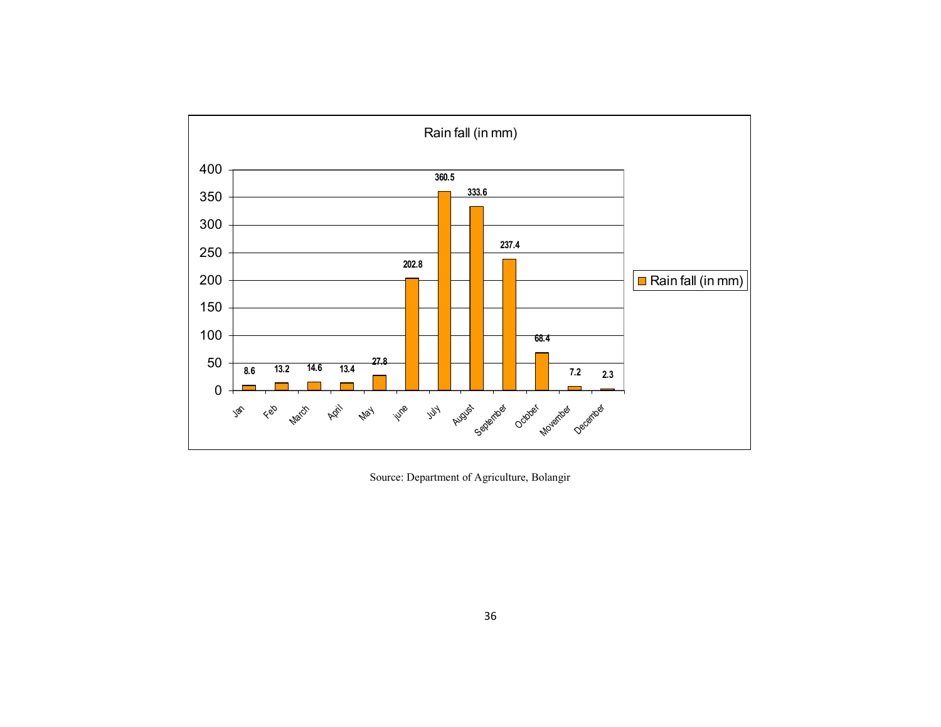

Source: Department of Agriculture, Bolangir